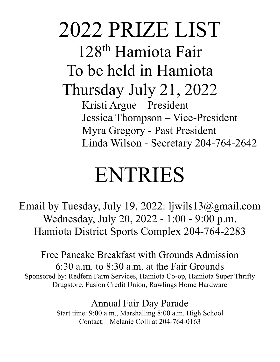2022 PRIZE LIST 128<sup>th</sup> Hamiota Fair To be held in Hamiota Thursday July 21, 2022 Kristi Argue – President Jessica Thompson – Vice-President Myra Gregory - Past President Linda Wilson - Secretary 204-764-2642

# ENTRIES

Email by Tuesday, July 19, 2022: ljwils13@gmail.com Wednesday, July 20, 2022 - 1:00 - 9:00 p.m. Hamiota District Sports Complex 204-764-2283

Free Pancake Breakfast with Grounds Admission 6:30 a.m. to 8:30 a.m. at the Fair Grounds Sponsored by: Redfern Farm Services, Hamiota Co-op, Hamiota Super Thrifty Drugstore, Fusion Credit Union, Rawlings Home Hardware

> Annual Fair Day Parade Start time: 9:00 a.m., Marshalling 8:00 a.m. High School Contact: Melanie Colli at 204-764-0163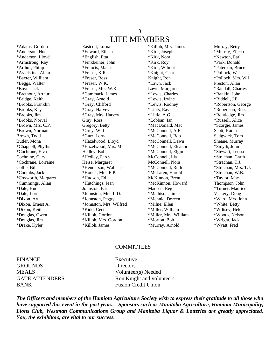### 3 LIFE MEMBERS

\*Adams, Gordon Eastcott, Lorna \*Killoh, Mrs. James Murray, Betty \*Anderson, Hud \*Edward, Eileen \*Kirk, Joseph \*Murray, Eileen \*Anderson, Lloyd \*English, Etta \*Kirk, Nora \*Newton, Earl \*Armstrong, Ray \*Finkbeiner, John \*Kirk, Roy \*Park, Donald \*Arthur, Philip \*Francis, Maurice \*Kirk, Wilmot \*Paterson, Bruce \*Asselstine, Allan \*Fraser, K.R. \*Knight, Charles \*Pollock, W.J. \*Baxter, William \*Fraser, Ross Knight, Ron \*Pollock, Mrs. W.J. \*Beggs, Walter \*Fraser, W.K. \*Lawn, Jack Preston, Allan \*Boyd, Jack \*Fraser, Mrs. W.K. Lawn, Margaret \*Randall, Charles \*Brethour, Arthur \*Gammack, James \*Lewis, Charles \*Rankin, John \*Bridge, Keith \*Gray, Arnold \*Lewis, Irvine \*Riddell, J.E. \*Brooks, Franklin \*Gray, Clifford \*Lewis, Rodney \*Robertson, George \*Brooks, Kay \*Gray, Harvey \*Lints, Ray \*Robertson, Ross \*Brooks, Jim \*Gray, Mrs. Harvey \*Little, A.G. \*Routledge, Jim \*Brooks, Norval Gray, Ross \*Lobban, Ian \*Russell, Alice \*Brown, Mrs. C.P. Gregory, Betty \*MacDonald, Mac \*Scorgie, James \*Brown, Norman \*Grey. Will \*McConnell, A.E. Scott, Karen Brown, Todd \*Gurr, Lorne \*McConnell, Bob Sedgwick, Tom Butler, Mona \*\*Hazelwood, Lloyd \*McConnell, Dawn Sheane, Murray \*Chappell, Phyllis \*Hazelwood, Mrs. M. \*McConnell, Eleanor \*Smyth, John \*Cochrane, Elva Hedley, Bob \*McConnell, Elgin \*Stewart, Leona Cochrane, Gary \*Hedley, Percy McConnell, Ida \*Strachan, Garth \*Cochrane, Lorraine Heise, Margaret McConnell, Nora \*Strachan, T.J. Collie, Bill \*Henderson, Wallace \*McConnell, Ruth \*Strachan, Mrs. T.J. \*Coombs, Jack \*Houck, Mrs. E.P. \*McLaren, Harold \*Strachan, W.B. \*Coxworth, Margaret \*Hudson, Ed McKinnon, Brent \*Taylor, Mae \*Cummings. Allan \*Hutchings, Jean \*McKinnon, Howard Thompson, John \*Dale, Hud Johnston, Earle Madsen, Reg \*Turner, Maurice \*Dale, Lorne \* \*Johnston, Mrs. L.D. \* \*Mathison, Jim Yickery, Doug \*Dixon, Art \*Johnston, Peggy \*Mennie, Doreen \*Ward, Mrs. John \*Dixon, Ernest A. \*Johnston, Mrs. Wilfred \*Milne, Ellen \*White, Betty \*Dixon, Keith \*Kidd, Cecil \*Miller, William \*Wiltsey, Helen \*Douglas, Gwen \*Killoh, Gordon \*Miller, Mrs. William \*Woods, Nelson \*Douglas, Jim \*Killoh, Mrs. Gordon \*Morton, Bob \*Wright, Jack

\*Drake, Kyler \*Killoh, James \*Murray, Arnold \*Wyatt, Fred

### **COMMITTEES**

FINANCE Executive GROUNDS Directors BANK Fusion Credit Union

MEALS Volunteer(s) Needed GATE ATTENDERS Ron Knight and volunteers

*The Officers and members of the Hamiota Agriculture Society wish to express their gratitude to all those who have supported this event in the past years. Sponsors such as Manitoba Agriculture, Hamiota Municipality, Lions Club, Westman Communications Group and Manitoba Liquor & Lotteries are greatly appreciated. You, the exhibitors, are vital to our success.*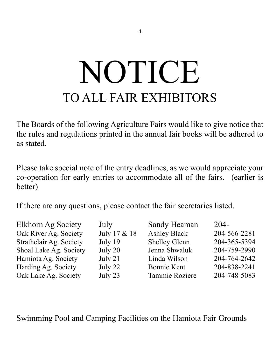# NOTICE TO ALL FAIR EXHIBITORS

The Boards of the following Agriculture Fairs would like to give notice that the rules and regulations printed in the annual fair books will be adhered to as stated.

Please take special note of the entry deadlines, as we would appreciate your co-operation for early entries to accommodate all of the fairs. (earlier is better)

If there are any questions, please contact the fair secretaries listed.

| Elkhorn Ag Society      | July         | Sandy Heaman         | $204 -$      |
|-------------------------|--------------|----------------------|--------------|
| Oak River Ag. Society   | July 17 & 18 | <b>Ashley Black</b>  | 204-566-2281 |
| Strathclair Ag. Society | July 19      | <b>Shelley Glenn</b> | 204-365-5394 |
| Shoal Lake Ag. Society  | July 20      | Jenna Shwaluk        | 204-759-2990 |
| Hamiota Ag. Society     | July 21      | Linda Wilson         | 204-764-2642 |
| Harding Ag. Society     | July 22      | Bonnie Kent          | 204-838-2241 |
| Oak Lake Ag. Society    | July 23      | Tammie Roziere       | 204-748-5083 |

Swimming Pool and Camping Facilities on the Hamiota Fair Grounds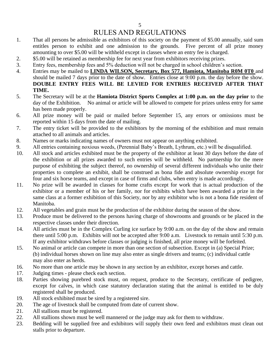# RULES AND REGULATIONS

- 1. That all persons be admissible as exhibitors of this society on the payment of \$5.00 annually, said sum entitles person to exhibit and one admission to the grounds. Five percent of all prize money amounting to over \$5.00 will be withheld except in classes where an entry fee is charged.
- 2. \$5.00 will be retained as membership fee for next year from exhibitors receiving prizes.
- 3. Entry fees, membership fees and 5% deduction will not be charged in school children's section.
- 4. Entries may be mailed to **LINDA WILSON, Secretary, Box 577, Hamiota, Manitoba R0M 0T0** and should be mailed 7 days prior to the date of show. Entries close at 9:00 p.m. the day before the show. **DOUBLE ENTRY FEES WILL BE LEVIED FOR ENTRIES RECEIVED AFTER THAT TIME.**
- 5. The Secretary will be at the **Hamiota District Sports Complex at 1:00 p.m. on the day prior** to the day of the Exhibition. No animal or article will be allowed to compete for prizes unless entry for same has been made properly.
- 6. All prize money will be paid or mailed before September 15, any errors or omissions must be reported within 15 days from the date of mailing.
- 7. The entry ticket will be provided to the exhibitors by the morning of the exhibition and must remain attached to all animals and articles.
- 8. Names or marks indicating names of owners must not appear on anything exhibited.
- 9. All entries containing noxious weeds, (Perennial Baby's Breath, Lythrum, etc.) will be disqualified.
- 10. All stock and articles exhibited must be the property of the exhibitor at least 30 days before the date of the exhibition or all prizes awarded to such entries will be withheld. No partnership for the mere purpose of exhibiting the subject thereof, no ownership of several different individuals who unite their properties to complete an exhibit, shall be construed as bona fide and absolute ownership except for four and six horse teams, and except in case of firms and clubs, when entry is made accordingly.
- 11. No prize will be awarded in classes for home crafts except for work that is actual production of the exhibitor or a member of his or her family, nor for exhibits which have been awarded a prize in the same class at a former exhibition of this Society, nor by any exhibitor who is not a bona fide resident of Manitoba.
- 12. All vegetables and grain must be the production of the exhibitor during the season of the show.
- 13. Produce must be delivered to the persons having charge of showrooms and grounds or be placed in the respective classes under their direction.
- 14. All articles must be in the Complex Curling ice surface by 9:00 a.m. on the day of the show and remain there until 5:00 p.m. Exhibits will not be accepted after 9:00 a.m. Livestock to remain until 5:30 p.m. If any exhibitor withdraws before classes or judging is finished, all prize money will be forfeited.
- 15. No animal or article can compete in more than one section of subsection. Except in (a) Special Prize; (b) individual horses shown on line may also enter as single drivers and teams; (c) individual cattle may also enter as herds.
- 16. No more than one article may be shown in any section by an exhibitor, except horses and cattle.
- 17. Judging times please check each section.
- 18. Parties showing purebred stock must, on request, produce to the Secretary, certificate of pedigree, except for calves, in which case statutory declaration stating that the animal is entitled to be duly registered shall be produced.
- 19. All stock exhibited must be sired by a registered sire.
- 20. The age of livestock shall be computed from date of current show.
- 21. All stallions must be registered.
- 22. All stallions shown must be well mannered or the judge may ask for them to withdraw.
- 23. Bedding will be supplied free and exhibitors will supply their own feed and exhibitors must clean out stalls prior to departure.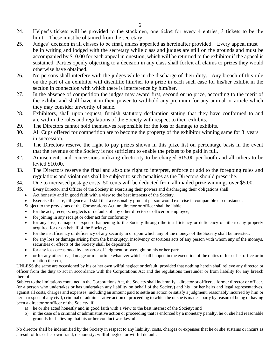- 24. Helper's tickets will be provided to the stockmen, one ticket for every 4 entries, 3 tickets to be the limit. These must be obtained from the secretary.
- 25. Judges' decision in all classes to be final, unless appealed as hereinafter provided. Every appeal must be in writing and lodged with the secretary while class and judges are still on the grounds and must be accompanied by \$10.00 for each appeal in question, which will be returned to the exhibitor if the appeal is sustained. Parties openly objecting to a decision in any class shall forfeit all claims to prizes they would otherwise have obtained.
- 26. No persons shall interfere with the judges while in the discharge of their duty. Any breach of this rule on the part of an exhibitor will disentitle him/her to a prize in each such case for his/her exhibit in the section in connection with which there is interference by him/her.
- 27. In the absence of competition the judges may award first, second or no prize, according to the merit of the exhibit and shall have it in their power to withhold any premium for any animal or article which they may consider unworthy of same.
- 28. Exhibitors, shall upon request, furnish statutory declaration stating that they have conformed to and are within the rules and regulations of the Society with respect to their exhibits.
- 29. The Directors cannot hold themselves responsible for the loss or damage to exhibits.
- 30. All Cups offered for competition are to become the property of the exhibitor winning same for 3 years in succession.
- 31. The Directors reserve the right to pay prizes shown in this prize list on percentage basis in the event that the revenue of the Society is not sufficient to enable the prizes to be paid in full.
- 32. Amusements and concessions utilizing electricity to be charged \$15.00 per booth and all others to be levied \$10.00.
- 33. The Directors reserve the final and absolute right to interpret, enforce or add to the foregoing rules and regulations and violations shall be subject to such penalties as the Directors should prescribe.
- 34. Due to increased postage costs, 50 cents will be deducted from all mailed prize winnings over \$5.00.
- 35. Every Director and Officer of the Society in exercising their powers and discharging their obligations shall:
	- Act honestly and in good faith with a view to the best interests of the Society.
	- Exercise the care, diligence and skill that a reasonably prudent person would exercise in comparable circumstances.
	- Subject to the provisions of the Corporations Act, no director or officer shall be liable
	- for the acts, receipts, neglects or defaults of any other director or officer or employee;
	- for joining in any receipt or other act for conformity;
	- for any loss, damage or expense happening to the Society through the insufficiency or deficiency of title to any property acquired for or on behalf of the Society;
	- for the insufficiency or deficiency of any security in or upon which any of the moneys of the Society shall be invested;
	- for any loss or damage arising from the bankruptcy, insolvency or tortious acts of any person with whom any of the moneys, securities or effects of the Society shall be deposited;
	- for any loss occasioned by any error of judgment or oversight on his or her part;
	- or for any other loss, damage or misfortune whatever which shall happen in the execution of the duties of his or her office or in relation thereto,

UNLESS the same are occasioned by his or her own wilful neglect or default; provided that nothing herein shall relieve any director or officer from the duty to act in accordance with the Corporations Act and the regulations thereunder or from liability for any breach thereof.

Subject to the limitations contained in the Corporations Act, the Society shall indemnify a director or officer, a former director or officer, (or a person who undertakes or has undertaken any liability on behalf of the Society) and his or her heirs and legal representatives, against all costs, charges and expenses, including an amount paid to settle an action or satisfy a judgment, reasonably incurred by him or her in respect of any civil, criminal or administrative action or proceeding to which he or she is made a party by reason of being or having been a director or officer of the Society, if:

- a) he or she acted honestly and in good faith with a view to the best interest of the Society; and
- b) in the case of a criminal or administrative action or proceeding that is enforced by a monetary penalty, he or she had reasonable grounds for believing that his or her conduct was lawful.

No director shall be indemnified by the Society in respect to any liability, costs, charges or expenses that he or she sustains or incurs as a result of his or her own fraud, dishonesty, willful neglect or willful default.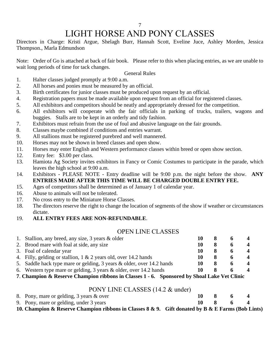# LIGHT HORSE AND PONY CLASSES

Directors in Charge: Kristi Argue, Shelagh Burr, Hannah Scott, Eveline Juce, Ashley Morden, Jessica Thompson., Marla Edmundson

Note: Order of Go is attached at back of fair book. Please refer to this when placing entries, as we are unable to wait long periods of time for tack changes.

### General Rules

- 1. Halter classes judged promptly at 9:00 a.m.
- 2. All horses and ponies must be measured by an official.
- 3. Birth certificates for junior classes must be produced upon request by an official.
- 4. Registration papers must be made available upon request from an official for registered classes.
- 5. All exhibitors and competitors should be neatly and appropriately dressed for the competition.
- 6. All exhibitors will cooperate with the fair officials in parking of trucks, trailers, wagons and buggies. Stalls are to be kept in an orderly and tidy fashion.
- 7. Exhibitors must refrain from the use of foul and abusive language on the fair grounds.
- 8. Classes maybe combined if conditions and entries warrant.
- 9. All stallions must be registered purebred and well mannered.
- 10. Horses may not be shown in breed classes and open show.
- 11. Horses may enter English and Western performance classes within breed or open show section.
- 12. Entry fee: \$3.00 per class.
- 13. Hamiota Ag Society invites exhibitors in Fancy or Comic Costumes to participate in the parade, which leaves the high school at 9:00 a.m.
- 14. Exhibitors PLEASE NOTE Entry deadline will be 9:00 p.m. the night before the show. **ANY ENTRIES MADE AFTER THIS TIME WILL BE CHARGED DOUBLE ENTRY FEE.**
- 15. Ages of competitors shall be determined as of January 1 of calendar year.
- 16. Abuse to animals will not be tolerated.
- 17. No cross entry to the Miniature Horse Classes.
- 18. The directors reserve the right to change the location of segments of the show if weather or circumstances dictate.
- 19. **ALL ENTRY FEES ARE NON-REFUNDABLE**.

### OPEN LINE CLASSES

| 1. Stallion, any breed, any size, 3 years & older                     |  | $\boldsymbol{\varDelta}$ |
|-----------------------------------------------------------------------|--|--------------------------|
| 2. Brood mare with foal at side, any size                             |  | $\boldsymbol{\Lambda}$   |
| 3. Foal of calendar year                                              |  | $\boldsymbol{\Lambda}$   |
| 4. Filly, gelding or stallion, 1 & 2 years old, over 14.2 hands       |  | $\boldsymbol{\Lambda}$   |
| 5. Saddle hack type mare or gelding, 3 years & older, over 14.2 hands |  | $\boldsymbol{\varDelta}$ |
| 6. Western type mare or gelding, 3 years $\&$ older, over 14.2 hands  |  |                          |
|                                                                       |  |                          |

**7**. **Champion & Reserve Champion ribbons in Classes 1 - 6. Sponsored by Shoal Lake Vet Clinic**

### PONY LINE CLASSES (14.2 & under)

| 8. Pony, mare or gelding, 3 years & over                                                              | 10- | <b>X</b> | $\overline{6}$ |  |
|-------------------------------------------------------------------------------------------------------|-----|----------|----------------|--|
| 9. Pony, mare or gelding, under 3 years                                                               |     |          | $10 \times 6$  |  |
| 10. Champion & Reserve Champion ribbons in Classes $8 \& 9$ . Gift donated by B & E Farms (Bob Lints) |     |          |                |  |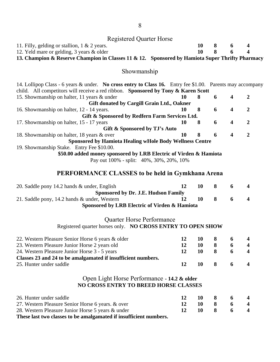## Registered Quarter Horse

| 11. Filly, gelding or stallion, $1 \& 2 \text{ years.}$ |  | 10 8 6 4 |  |
|---------------------------------------------------------|--|----------|--|
| 12. Yeld mare or gelding, 3 years & older               |  | 10 8 6 4 |  |
|                                                         |  |          |  |

**13. Champion & Reserve Champion in Classes 11 & 12. Sponsored by Hamiota Super Thrifty Pharmacy**

### Showmanship

| 14. Lollipop Class - 6 years & under. No cross entry to Class 16. Entry fee \$1.00. Parents may accompany |    |     |   |                         |   |
|-----------------------------------------------------------------------------------------------------------|----|-----|---|-------------------------|---|
| child. All competitors will receive a red ribbon. Sponsored by Tony & Karen Scott                         |    |     |   |                         |   |
| 15. Showmanship on halter, 11 years & under                                                               | 10 | 8   | 6 | $\overline{\mathbf{4}}$ | 2 |
| Gift donated by Cargill Grain Ltd., Oakner                                                                |    |     |   |                         |   |
| 16. Showmanship on halter, 12 - 14 years.                                                                 | 10 | - 8 | 6 | $\overline{\mathbf{4}}$ | 2 |
| Gift & Sponsored by Redfern Farm Services Ltd.                                                            |    |     |   |                         |   |
| 17. Showmanship on halter, 15 - 17 years                                                                  | 10 | 8   | 6 | $\boldsymbol{4}$        | 2 |
| Gift & Sponsored by TJ's Auto                                                                             |    |     |   |                         |   |
| 18. Showmanship on halter, 18 years & over                                                                | 10 | 8   | 6 | $\overline{\mathbf{4}}$ | 2 |
| <b>Sponsored by Hamiota Healing wHole Body Wellness Centre</b>                                            |    |     |   |                         |   |
| 19. Showmanship Stake. Entry Fee \$10.00.                                                                 |    |     |   |                         |   |
| \$50.00 added money sponsored by LRB Electric of Virden & Hamiota                                         |    |     |   |                         |   |
| Pay out 100% - split: 40%, 30%, 20%, 10%                                                                  |    |     |   |                         |   |
|                                                                                                           |    |     |   |                         |   |
| <b>PERFORMANCE CLASSES to be held in Gymkhana Arena</b>                                                   |    |     |   |                         |   |

### **PERFORMANCE CLASSES to be held in Gymkhana Arena**

| 20. Saddle pony 14.2 hands & under, English                                                                     | 12 | 10 | 8 | 6 | 4                       |
|-----------------------------------------------------------------------------------------------------------------|----|----|---|---|-------------------------|
| <b>Sponsored by Dr. J.E. Hudson Family</b>                                                                      |    |    |   |   |                         |
| 21. Saddle pony, 14.2 hands & under, Western                                                                    | 12 | 10 | 8 | 6 | 4                       |
| Sponsored by LRB Electric of Virden & Hamiota                                                                   |    |    |   |   |                         |
| <b>Quarter Horse Performance</b>                                                                                |    |    |   |   |                         |
| Registered quarter horses only. NO CROSS ENTRY TO OPEN SHOW                                                     |    |    |   |   |                         |
| 22. Western Pleasure Senior Horse 6 years & older                                                               | 12 | 10 | 8 | 6 |                         |
| 23. Western Pleasure Junior Horse 2 years old                                                                   | 12 | 10 | 8 | 6 | $\overline{\mathbf{4}}$ |
| 24. Western Pleasure Junior Horse 3 - 5 years                                                                   | 12 | 10 | 8 | 6 | $\overline{\mathbf{4}}$ |
| Classes 23 and 24 to be amalgamated if insufficient numbers.                                                    |    |    |   |   |                         |
| 25. Hunter under saddle                                                                                         | 12 | 10 | 8 | 6 | 4                       |
| Open Light Horse Performance - 14.2 & older                                                                     |    |    |   |   |                         |
| <b>NO CROSS ENTRY TO BREED HORSE CLASSES</b>                                                                    |    |    |   |   |                         |
| 26. Hunter under saddle                                                                                         | 12 | 10 | 8 | 6 |                         |
| 27. Western Pleasure Senior Horse 6 years. & over                                                               | 12 | 10 | 8 | 6 | $\overline{\mathbf{4}}$ |
| 28. Western Pleasure Junior Horse 5 years & under                                                               | 12 | 10 | 8 | 6 | 4                       |
| $\mathbf{A}$ and $\mathbf{A}$ and $\mathbf{A}$ and $\mathbf{A}$ and $\mathbf{A}$ are associated by $\mathbf{A}$ |    |    |   |   |                         |

**These last two classes to be amalgamated if insufficient numbers.**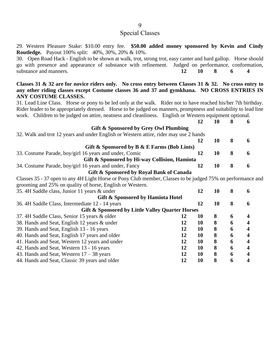### Special Classes

29. Western Pleasure Stake: \$10.00 entry fee. **\$50.00 added money sponsored by Kevin and Cindy Routledge.** Payout 100% split: 40%, 30%, 20% & 10%.

30. Open Road Hack - English to be shown at walk, trot, strong trot, easy canter and hard gallop. Horse should go with presence and appearance of substance with refinement. Judged on performance, conformation, substance and manners. **12 10 8 6 4**

**Classes 31 & 32 are for novice riders only. No cross entry between Classes 31 & 32. No cross entry to any other riding classes except Costume classes 36 and 37 and gymkhana. NO CROSS ENTRIES IN ANY COSTUME CLASSES.**

31. Lead Line Class. Horse or pony to be led only at the walk. Rider not to have reached his/her 7th birthday. Rider leader to be appropriately dressed. Horse to be judged on manners, promptness and suitability to lead line work. Children to be judged on attire, neatness and cleanliness. English or Western equipment optional.

| Gift & Sponsored by Grey Owl Plumbing                                                 |    |    |  |   |  |  |
|---------------------------------------------------------------------------------------|----|----|--|---|--|--|
| 32. Walk and trot 12 years and under English or Western attire, rider may use 2 hands |    |    |  |   |  |  |
|                                                                                       | 12 |    |  | h |  |  |
| Gift & Sponsored by $B \& E$ Farms (Bob Lints)                                        |    |    |  |   |  |  |
| 33. Costume Parade, boy/girl 16 years and under, Comic                                | 12 | 10 |  | 6 |  |  |
| Gift & Sponsored by Hi-way Collision, Hamiota                                         |    |    |  |   |  |  |
| 34. Costume Parade, boy/girl 16 years and under, Fancy                                |    |    |  |   |  |  |
| Gift & Sponsored by Royal Bank of Canada                                              |    |    |  |   |  |  |

Classes 35 - 37 open to any 4H Light Horse or Pony Club member, Classes to be judged 75% on performance and grooming and 25% on quality of horse, English or Western.

| 35. 4H Saddle class, Junior 11 years & under     |    | 12 | 10 | 8 |  |
|--------------------------------------------------|----|----|----|---|--|
| Gift & Sponsored by Hamiota Hotel                |    |    |    |   |  |
| 36. 4H Saddle Class, Intermediate 12 - 14 years  |    | 12 | 10 | 8 |  |
| Gift & Sponsored by Little Valley Quarter Horses |    |    |    |   |  |
| 37. 4H Saddle Class, Senior 15 years & older     | 12 | 10 | 8  | 6 |  |
| 38. Hands and Seat, English 12 years & under     | 12 | 10 | 8  | 6 |  |
| 39. Hands and Seat, English 13 - 16 years        | 12 | 10 | 8  | 6 |  |
| 40. Hands and Seat, English 17 years and older   | 12 | 10 | 8  | 6 |  |
| 41. Hands and Seat, Western 12 years and under   | 12 | 10 | 8  | 6 |  |
| 42. Hands and Seat, Western 13 - 16 years        | 12 | 10 | 8  | 6 |  |
| 43. Hands and Seat, Western $17 - 38$ years      | 12 | 10 | 8  | 6 |  |
| 44. Hands and Seat, Classic 39 years and older   |    | 10 | 8  | 6 |  |
|                                                  |    |    |    |   |  |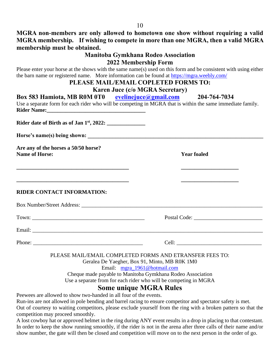**MGRA non-members are only allowed to hometown one show without requiring a valid MGRA membership. If wishing to compete in more than one MGRA, then a valid MGRA membership must be obtained.**

### **Manitoba Gymkhana Rodeo Association 2022 Membership Form**

Please enter your horse at the shows with the same name(s) used on this form and be consistent with using either the barn name or registered name. More information can be found at<https://mgra.weebly.com/>

### **PLEASE MAIL/EMAIL COPLETED FORMS TO:**

### **Karen Juce (c/o MGRA Secretary)**

| Box 583 Hamiota, MB R0M 0T0 eveline juce @gmail.com 204-764-7034                                          | Use a separate form for each rider who will be competing in MGRA that is within the same immediate family.           |
|-----------------------------------------------------------------------------------------------------------|----------------------------------------------------------------------------------------------------------------------|
|                                                                                                           |                                                                                                                      |
|                                                                                                           |                                                                                                                      |
|                                                                                                           |                                                                                                                      |
| Are any of the horses a 50/50 horse?<br><b>Name of Horse:</b>                                             | <b>Year foaled</b>                                                                                                   |
|                                                                                                           |                                                                                                                      |
|                                                                                                           |                                                                                                                      |
| <u> 1989 - Johann Barbara, martxa alemaniar argametra (h. 1989).</u><br><b>RIDER CONTACT INFORMATION:</b> | <u> 1989 - Johann John Stone, market fan it ferstjer fan it ferstjer fan it ferstjer fan it ferstjer fan it fers</u> |
|                                                                                                           |                                                                                                                      |
|                                                                                                           |                                                                                                                      |
|                                                                                                           |                                                                                                                      |
|                                                                                                           |                                                                                                                      |
|                                                                                                           | - - - - - -                                                                                                          |

PLEASE MAIL/EMAIL COMPLETED FORMS AND ETRANSFER FEES TO:

Geralea De Yaegher, Box 91, Minto, MB R0K 1M0

Email: [mgra\\_1961@hotmail.com](mailto:mgra_1961@hotmail.com)

Cheque made payable to Manitoba Gymkhana Rodeo Association Use a separate from for each rider who will be competing in MGRA

### **Some unique MGRA Rules**

Peewees are allowed to show two-handed in all four of the events.

Run-ins are not allowed in pole bending and barrel racing to ensure competitor and spectator safety is met. Out of courtesy to waiting competitors, please exclude yourself from the ring with a broken pattern so that the competition may proceed smoothly.

A lost cowboy hat or approved helmet in the ring during ANY event results in a drop in placing to that contestant. In order to keep the show running smoothly, if the rider is not in the arena after three calls of their name and/or show number, the gate will then be closed and competition will move on to the next person in the order of go.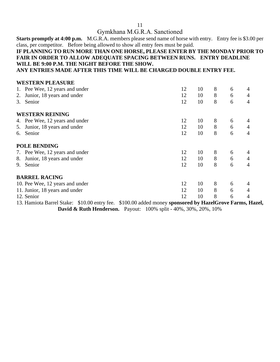### Gymkhana M.G.R.A. Sanctioned

**Starts promptly at 4:00 p.m.** M.G.R.A. members please send name of horse with entry. Entry fee is \$3.00 per class, per competitor. Before being allowed to show all entry fees must be paid.

### **IF PLANNING TO RUN MORE THAN ONE HORSE, PLEASE ENTER BY THE MONDAY PRIOR TO FAIR IN ORDER TO ALLOW ADEQUATE SPACING BETWEEN RUNS. ENTRY DEADLINE WILL BE 9:00 P.M. THE NIGHT BEFORE THE SHOW.**

**ANY ENTRIES MADE AFTER THIS TIME WILL BE CHARGED DOUBLE ENTRY FEE.**

|    | <b>WESTERN PLEASURE</b>         |    |    |                |   |                |
|----|---------------------------------|----|----|----------------|---|----------------|
|    | 1. Pee Wee, 12 years and under  | 12 | 10 | 8              | 6 | $\overline{4}$ |
| 2. | Junior, 18 years and under      | 12 | 10 | 8              | 6 | $\overline{4}$ |
| 3. | Senior                          | 12 | 10 | 8              | 6 | $\overline{4}$ |
|    | <b>WESTERN REINING</b>          |    |    |                |   |                |
|    | 4. Pee Wee, 12 years and under  | 12 | 10 | 8              | 6 | 4              |
| 5. | Junior, 18 years and under      | 12 | 10 | 8              | 6 | $\overline{4}$ |
|    | 6. Senior                       | 12 | 10 | 8              | 6 | $\overline{4}$ |
|    | <b>POLE BENDING</b>             |    |    |                |   |                |
|    | 7. Pee Wee, 12 years and under  | 12 | 10 | 8              | 6 | 4              |
| 8. | Junior, 18 years and under      | 12 | 10 | $8\phantom{.}$ | 6 | $\overline{4}$ |
| 9. | Senior                          | 12 | 10 | 8              | 6 | $\overline{4}$ |
|    | <b>BARREL RACING</b>            |    |    |                |   |                |
|    | 10. Pee Wee, 12 years and under | 12 | 10 | 8              | 6 | 4              |
|    | 11. Junior, 18 years and under  | 12 | 10 | 8              | 6 | $\overline{4}$ |
|    | 12. Senior                      | 12 | 10 | 8              | 6 | $\overline{4}$ |

13. Hamiota Barrel Stake: \$10.00 entry fee. \$100.00 added money **sponsored by HazelGrove Farms, Hazel, David & Ruth Henderson.** Payout: 100% split - 40%, 30%, 20%, 10%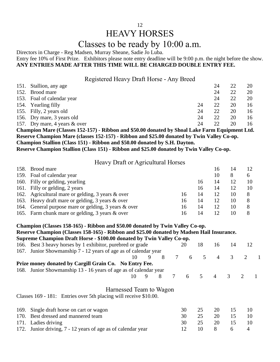# HEAVY HORSES

# Classes to be ready by 10:00 a.m.

Directors in Charge - Reg Madsen, Murray Sheane, Sadie Jo Luba.

Entry fee 10% of First Prize. Exhibitors please note entry deadline will be 9:00 p.m. the night before the show. **ANY ENTRIES MADE AFTER THIS TIME WILL BE CHARGED DOUBLE ENTRY FEE.**

Registered Heavy Draft Horse - Any Breed

| 151. Stallion, any age        |    | 24           |    | 20 |
|-------------------------------|----|--------------|----|----|
| 152. Brood mare               |    | 24           | 22 | 20 |
| 153. Foal of calendar year    |    | 24           | 22 | 20 |
| 154. Yearling filly           | 24 | 22           | 20 | 16 |
| 155. Filly, 2 years old       | 24 | 22.          | 20 | 16 |
| 156. Dry mare, 3 years old    | 24 | 22           | 20 | 16 |
| 157. Dry mare, 4 years & over | 24 | $22^{\circ}$ | 20 | 16 |
|                               |    |              |    |    |

**Champion Mare (Classes 152-157) - Ribbon and \$50.00 donated by Shoal Lake Farm Equipment Ltd. Reserve Champion Mare (classes 152-157) - Ribbon and \$25.00 donated by Twin Valley Co-op. Champion Stallion (Class 151) - Ribbon and \$50.00 donated by S.H. Dayton.**

**Reserve Champion Stallion (Class 151) - Ribbon and \$25.00 donated by Twin Valley Co-op.**

Heavy Draft or Agricultural Horses

| 158. | Brood mare                                           |    |    |                 | 14 | 12 |
|------|------------------------------------------------------|----|----|-----------------|----|----|
|      | 159. Foal of calendar year                           |    |    |                 | 8  | 6  |
|      | 160. Filly or gelding, yearling                      |    | 16 | 14              | 12 | 10 |
|      | 161. Filly or gelding, 2 years                       |    | 16 |                 | 12 | 10 |
|      | 162. Agricultural mare or gelding, 3 years & over    | 16 | 14 |                 | 10 |    |
|      | 163. Heavy draft mare or gelding, 3 years & over     | 16 | 14 | 12              | 10 |    |
|      | 164. General purpose mare or gelding, 3 years & over | 16 | 14 | 12 <sup>°</sup> | 10 |    |
|      | 165. Farm chunk mare or gelding, 3 years & over      | Iб | 14 |                 | 10 |    |

|      | Champion (Classes 158-165) - Ribbon and \$50.00 donated by Twin Valley Co-op.<br>Reserve Champion (Classes 158-165) - Ribbon and \$25.00 donated by Madsen Hail Insurance.<br>Supreme Champion Draft Horse - \$100.00 donated by Twin Valley Co-op. |    |   |   |   |    |                |                |               |                             |  |
|------|-----------------------------------------------------------------------------------------------------------------------------------------------------------------------------------------------------------------------------------------------------|----|---|---|---|----|----------------|----------------|---------------|-----------------------------|--|
|      | 166. Best 3 heavy horses by 1 exhibitor, purebred or grade                                                                                                                                                                                          |    |   |   |   | 20 | 18             | 16             | 14            | 12                          |  |
|      | 167. Junior Showmanship 7 - 12 years of age as of calendar year                                                                                                                                                                                     |    |   |   |   |    |                |                |               |                             |  |
|      |                                                                                                                                                                                                                                                     | 10 | 9 | 8 | 7 | 6  | 5              | 4              | 3             | 2                           |  |
|      | Prize money donated by Cargill Grain Co. No Entry Fee.                                                                                                                                                                                              |    |   |   |   |    |                |                |               |                             |  |
|      | 168. Junior Showmanship 13 - 16 years of age as of calendar year                                                                                                                                                                                    |    |   |   |   |    |                |                |               |                             |  |
|      |                                                                                                                                                                                                                                                     | 10 | 9 | 8 | 7 | 6  | $\overline{5}$ | $\overline{4}$ | $\mathcal{R}$ | $\mathcal{D}_{\mathcal{L}}$ |  |
|      | Harnessed Team to Wagon<br>Classes 169 - 181: Entries over 5th placing will receive \$10.00.                                                                                                                                                        |    |   |   |   |    |                |                |               |                             |  |
| 169. | Single draft horse on cart or wagon                                                                                                                                                                                                                 |    |   |   |   | 30 | 25             | 20             | 15            | 10                          |  |
|      | 170. Best dressed and mannered team                                                                                                                                                                                                                 |    |   |   |   | 30 | 25             | 20             | 15            | 10                          |  |

### 171. Ladies driving 25 20 15 10 172. Junior driving, 7 - 12 years of age as of calendar year 12 10 8 6 4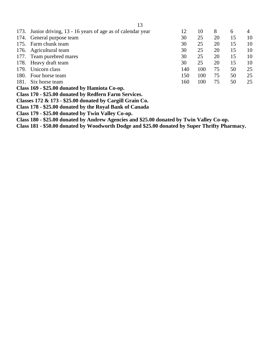|                                               | 173. Junior driving, 13 - 16 years of age as of calendar year | 12  | 10  | 8  | 6  | 4  |
|-----------------------------------------------|---------------------------------------------------------------|-----|-----|----|----|----|
|                                               | 174. General purpose team                                     | 30  | 25  | 20 | 15 | 10 |
|                                               | 175. Farm chunk team                                          | 30  | 25  | 20 | 15 | 10 |
|                                               | 176. Agricultural team                                        | 30  | 25  | 20 | 15 | 10 |
|                                               | 177. Team purebred mares                                      | 30  | 25  | 20 | 15 | 10 |
| 178.                                          | Heavy draft team                                              | 30  | 25  | 20 | 15 | 10 |
| 179.                                          | Unicorn class                                                 | 140 | 100 | 75 | 50 | 25 |
| 180.                                          | Four horse team                                               | 150 | 100 | 75 | 50 | 25 |
| 181.                                          | Six horse team                                                | 160 | 100 | 75 | 50 | 25 |
| Class 169 - \$25.00 donated by Hamiota Co-op. |                                                               |     |     |    |    |    |
|                                               | Class 170 - \$25.00 donated by Redfern Farm Services.         |     |     |    |    |    |

**Classes 172 & 173 - \$25.00 donated by Cargill Grain Co.**

**Class 178 - \$25.00 donated by the Royal Bank of Canada**

**Class 179 - \$25.00 donated by Twin Valley Co-op.**

**Class 180 - \$25.00 donated by Andrew Agencies and \$25.00 donated by Twin Valley Co-op.**

**Class 181 - \$50.00 donated by Woodworth Dodge and \$25.00 donated by Super Thrifty Pharmacy.**

13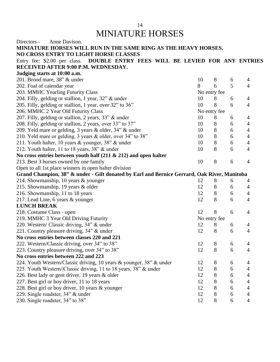# MINIATURE HORSES

| Anne Davison.<br>Directors -                                                                |    |                |   |                |
|---------------------------------------------------------------------------------------------|----|----------------|---|----------------|
| MINIATURE HORSES WILL RUN IN THE SAME RING AS THE HEAVY HORSES.                             |    |                |   |                |
| NO CROSS ENTRY TO LIGHT HORSE CLASSES                                                       |    |                |   |                |
| Entry fee: \$2.00 per class. DOUBLE ENTRY FEES WILL BE LEVIED FOR ANY ENTRIES               |    |                |   |                |
| <b>RECEIVED AFTER 9:00 P.M. WEDNESDAY.</b>                                                  |    |                |   |                |
| Judging starts at 10:00 a.m.                                                                |    |                |   |                |
| 201. Brood mare, 38" & under                                                                | 10 | $8\phantom{.}$ | 6 | $\overline{4}$ |
| 202. Foal of calendar year                                                                  | 8  | 6              | 5 | $\overline{4}$ |
| 203. MMHC Yearling Futurity Class                                                           |    | No entry fee   |   |                |
| 204. Filly, gelding or stallion, 1 year, 32" & under                                        | 10 | 8              | 6 | $\overline{4}$ |
| 205. Filly, gelding or stallion, 1 year, over 32" to 36"                                    | 10 | 8              | 6 | $\overline{4}$ |
| 206. MMHC 2 Year Old Futurity Class                                                         |    | No entry fee   |   |                |
| 207. Filly, gelding or stallion, 2 years, 33" & under                                       | 10 | 8              | 6 | $\overline{4}$ |
| 208. Filly, gelding or stallion, 2 years, over 33" to 37"                                   | 10 | 8              | 6 | 4              |
| 209. Yeld mare or gelding, 3 years & older, 34" & under                                     | 10 | $8\,$          | 6 | 4              |
| 210. Yeld mare or gelding, 3 years & older, over 34" to 38"                                 | 10 | 8              | 6 | 4              |
| 211. Youth halter, 10 years & younger, 38" & under                                          | 10 | $8\,$          | 6 | 4              |
| 212. Youth halter, 11 to 18 years, 38" & under                                              | 10 | 8              | 6 | $\overline{4}$ |
| No cross entries between youth half $(211 \& 212)$ and open halter                          |    |                |   |                |
| 213. Best 3 horses owned by one family                                                      | 10 | 8              | 6 | 4              |
| Open to all 1st place winners in open halter division                                       |    |                |   |                |
| Grand Champion, 38" & under - Gift donated by Earl and Bernice Gerrard, Oak River, Manitoba |    |                |   |                |
| 214. Showmanship, 10 years & younger                                                        | 12 | 8              | 6 | 4              |
| 215. Showmanship, 19 years & older                                                          | 12 | 8              | 6 | 4              |
| 216. Showmanship, 11 to 18 years                                                            | 12 | 8              | 6 | 4              |
| 217. Lead Line, 6 years & younger                                                           | 12 | 8              | 6 | 4              |
| <b>LUNCH BREAK</b>                                                                          |    |                |   |                |
| 218. Costume Class - open                                                                   | 12 | 8              | 6 | $\overline{4}$ |
| 219. MMHC 3 Year Old Driving Futurity                                                       |    | No entry fee   |   |                |
| 220. Western/ Classic driving, 34" & under                                                  | 12 | 8              | 6 | 4              |
| 221. Country pleasure driving, 34" & under                                                  | 12 | 8              | 6 | $\overline{4}$ |
| No cross entries between classes 220 and 221                                                |    |                |   |                |
| 222. Western/Classic driving, over 34" to 38"                                               | 12 | 8              | 6 | $\Delta$       |
| 223. Country pleasure driving, over 34" to 38"                                              | 12 | 8              | 6 | 4              |
| No cross entries between 222 and 223                                                        |    |                |   |                |
| 224. Youth Western/Classic driving, 10 years & younger, 38" & under                         | 12 | 8              | 6 | 4              |
| 225. Youth Western/ Classic driving, 11 to 18 years, 38" & under                            | 12 | $8\,$          | 6 | 4              |
| 226. Best lady or gent driver, 19 years & older                                             | 12 | 8              | 6 | 4              |
| 227. Best girl or boy driver, 11 to 18 years                                                | 12 | $8\,$          | 6 | 4              |
| 228. Best girl or boy driver, 10 years & younger                                            | 12 | $8\,$          | 6 | 4              |
| 229. Single roadster, 34" & under                                                           | 12 | $8\,$          | 6 | 4              |
| 230. Single roadster, 34" to 38"                                                            | 12 | $8\,$          | 6 | 4              |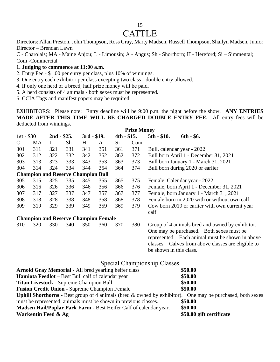### 15

# **CATTLE**

Directors: Allan Preston, John Thompson, Ross Gray, Marty Madsen, Russell Thompson, Shailyn Madsen, Junior Director – Brendan Lawn

C - Charolais; MA - Maine Anjou; L - Limousin; A - Angus; Sh - Shorthorn; H - Hereford; Si – Simmental; Com -Commercial

### **1. Judging to commence at 11:00 a.m.**

- 2. Entry Fee \$1.00 per entry per class, plus 10% of winnings.
- 3. One entry each exhibitor per class excepting two class double entry allowed.
- 4. If only one herd of a breed, half prize money will be paid.
- 5. A herd consists of 4 animals both sexes must be represented.
- 6. CCIA Tags and manifest papers may be required.

EXHIBITORS: Please note: Entry deadline will be 9:00 p.m. the night before the show. **ANY ENTRIES MADE AFTER THIS TIME WILL BE CHARGED DOUBLE ENTRY FEE.** All entry fees will be deducted from winnings.

|              |                                             |              |     |              |     |              | <b>Prize Money</b> |                         |                                                                                                                                                   |
|--------------|---------------------------------------------|--------------|-----|--------------|-----|--------------|--------------------|-------------------------|---------------------------------------------------------------------------------------------------------------------------------------------------|
| $1st - $30$  |                                             | $2nd - $25.$ |     | $3rd - $19.$ |     | $4th - $15.$ |                    | $5th - $10.$            | $6th - $6.$                                                                                                                                       |
| $\mathsf{C}$ | МA                                          | L            | Sh  | H            | A   | Si           | Com                |                         |                                                                                                                                                   |
| 301          | 311                                         | 321          | 331 | 341          | 351 | 361          | 371                |                         | Bull, calendar year - 2022                                                                                                                        |
| 302          | 312                                         | 322          | 332 | 342          | 352 | 362          | 372                |                         | Bull born April 1 - December 31, 2021                                                                                                             |
| 303          | 313                                         | 323          | 333 | 343          | 353 | 363          | 373                |                         | Bull born January 1 - March 31, 2021                                                                                                              |
| 304          | 314                                         | 324          | 334 | 344          | 354 | 364          | 374                |                         | Bull born during 2020 or earlier                                                                                                                  |
|              | <b>Champion and Reserve Champion Bull</b>   |              |     |              |     |              |                    |                         |                                                                                                                                                   |
| 305          | 315                                         | 325          | 335 | 345          | 355 | 365          | 375                |                         | Female, Calendar year - 2022                                                                                                                      |
| 306          | 316                                         | 326          | 336 | 346          | 356 | 366          | 376                |                         | Female, born April 1 - December 31, 2021                                                                                                          |
| 307          | 317                                         | 327          | 337 | 347          | 357 | 367          | 377                |                         | Female, born January 1 - March 31, 2021                                                                                                           |
| 308          | 318                                         | 328          | 338 | 348          | 358 | 368          | 378                |                         | Female born in 2020 with or without own calf                                                                                                      |
| 309          | 319                                         | 329          | 339 | 349          | 359 | 369          | 379                | calf                    | Cow born 2019 or earlier with own current year                                                                                                    |
|              | <b>Champion and Reserve Champion Female</b> |              |     |              |     |              |                    |                         |                                                                                                                                                   |
| 310          | 320                                         | 330          | 340 | 350          | 360 | 370          | 380                |                         | Group of 4 animals bred and owned by exhibitor.                                                                                                   |
|              |                                             |              |     |              |     |              |                    | be shown in this class. | One may be purchased. Both sexes must be<br>represented. Each animal must be shown in above<br>classes. Calves from above classes are eligible to |

### Special Championship Classes

| <b>Arnold Gray Memorial - All bred yearling heifer class</b>                                                        | \$50.00                  |
|---------------------------------------------------------------------------------------------------------------------|--------------------------|
| Hamiota Feedlot – Best Bull calf of calendar year                                                                   | \$50.00                  |
| <b>Titan Livestock - Supreme Champion Bull</b>                                                                      | \$50.00                  |
| <b>Fusion Credit Union - Supreme Champion Female</b>                                                                | \$50.00                  |
| <b>Uphill Shorthorns</b> - Best group of 4 animals (bred $\&$ owned by exhibitor). One may be purchased, both sexes |                          |
| must be represented, animals must be shown in previous classes.                                                     | \$50.00                  |
| Madsen Hail/Poplar Park Farm - Best Heifer Calf of calendar year.                                                   | \$50.00                  |
| Warkentin Feed & Ag                                                                                                 | \$50.00 gift certificate |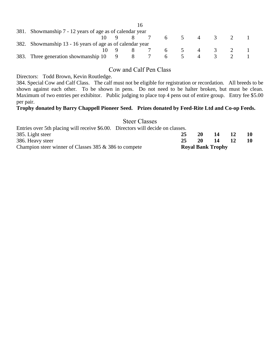| 381. Showmanship 7 - 12 years of age as of calendar year |                                                           |  |       |  |   |     |                |          |  |
|----------------------------------------------------------|-----------------------------------------------------------|--|-------|--|---|-----|----------------|----------|--|
|                                                          |                                                           |  |       |  |   | 6 5 | $\overline{4}$ | $\sim$ 3 |  |
|                                                          | 382. Showmanship 13 - 16 years of age as of calendar year |  |       |  |   |     |                |          |  |
|                                                          |                                                           |  |       |  |   |     | 6 5 4 3        |          |  |
|                                                          | 383. Three generation showmanship 10                      |  | 9 8 7 |  | 6 |     |                |          |  |

### Cow and Calf Pen Class

Directors: Todd Brown, Kevin Routledge.

384. Special Cow and Calf Class. The calf must not be eligible for registration or recordation. All breeds to be shown against each other. To be shown in pens. Do not need to be halter broken, but must be clean. Maximum of two entries per exhibitor. Public judging to place top 4 pens out of entire group. Entry fee \$5.00 per pair.

### **Trophy donated by Barry Chappell Pioneer Seed. Prizes donated by Feed-Rite Ltd and Co-op Feeds.**

Steer Classes

| Entries over 5th placing will receive \$6.00. Directors will decide on classes. |    |           |                          |           |    |
|---------------------------------------------------------------------------------|----|-----------|--------------------------|-----------|----|
| 385. Light steer                                                                | 25 | <b>20</b> | 14                       | <b>12</b> | 10 |
| 386. Heavy steer                                                                | 25 | <b>20</b> | -14                      | <b>12</b> |    |
| Champion steer winner of Classes 385 $\&$ 386 to compete                        |    |           | <b>Royal Bank Trophy</b> |           |    |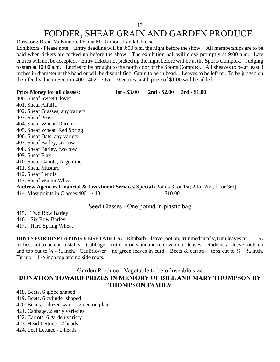# FODDER, SHEAF GRAIN AND GARDEN PRODUCE

Directors: Brent McKinnon, Donna McKinnon, Kendall Heise

Exhibitors - Please note: Entry deadline will be 9:00 p.m. the night before the show. All memberships are to be paid when tickets are picked up before the show. The exhibition hall will close promptly at 9:00 a.m. Late entries will not be accepted. Entry tickets not picked up the night before will be at the Sports Complex. Judging to start at 10:00 a.m. Entries to be brought to the north door of the Sports Complex. All sheaves to be at least 3 inches in diameter at the band or will be disqualified. Grain to be in head. Leaves to be left on. To be judged on their feed value in Section 400 - 402. Over 10 entries, a 4th prize of \$1.00 will be added.

**Prize Money for all classes: 1st - \$3.00 2nd - \$2.00 3rd - \$1.00**

400. Sheaf Sweet Clover 401. Sheaf Alfalfa 402. Sheaf Grasses, any variety 403. Sheaf Peas 404. Sheaf Wheat, Durum 405. Sheaf Wheat, Red Spring 406. Sheaf Oats, any variety 407. Sheaf Barley, six row 408. Sheaf Barley, two row 409. Sheaf Flax 410. Sheaf Canola, Argentine 411. Sheaf Mustard 412. Sheaf Lentils 413. Sheaf Winter Wheat **Andrew Agencies Financial & Investment Services Special** (Points 3 for 1st; 2 for 2nd, 1 for 3rd) 414. Most points in Classes  $400 - 413$  \$10.00

### Seed Classes - One pound in plastic bag

- 415. Two Row Barley
- 416. Six Row Barley
- 417. Hard Spring Wheat

**HINTS FOR DISPLAYING VEGETABLES:** Rhubarb – leave root on, trimmed nicely, trim leaves to  $1-1\frac{1}{2}$ inches, not to be cut in stalks. Cabbage – cut root on slant and remove outer leaves. Radishes – leave roots on and top cut to  $\frac{1}{4}$  -  $\frac{1}{2}$  inch. Cauliflower – no green leaves in curd. Beets & carrots – tops cut to  $\frac{1}{4}$  –  $\frac{1}{2}$  inch. Turnip  $-1\frac{1}{2}$  inch top and no side roots.

### Garden Produce - Vegetable to be of useable size **DONATION TOWARD PRIZES IN MEMORY OF BILL AND MARY THOMPSON BY THOMPSON FAMILY**

418. Beets, 6 globe shaped

- 419. Beets, 6 cylinder shaped
- 420. Beans, 1 dozen wax or green on plate
- 421. Cabbage, 2 early varieties
- 422. Carrots, 6 garden variety
- 423. Head Lettuce 2 heads
- 424. Leaf Lettuce 2 heads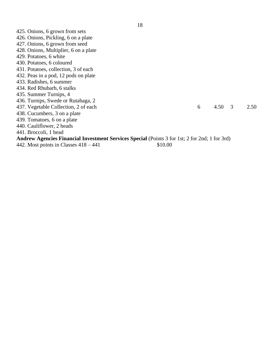| 6 |  | 2.50                                                                                                                    |
|---|--|-------------------------------------------------------------------------------------------------------------------------|
|   |  |                                                                                                                         |
|   |  |                                                                                                                         |
|   |  |                                                                                                                         |
|   |  |                                                                                                                         |
|   |  |                                                                                                                         |
|   |  |                                                                                                                         |
|   |  | $4.50 \quad 3$<br><b>Andrew Agencies Financial Investment Services Special (Points 3 for 1st; 2 for 2nd; 1 for 3rd)</b> |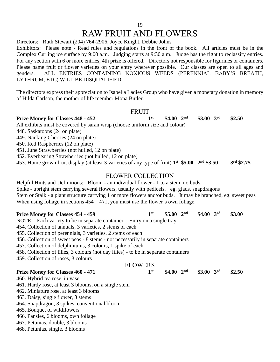19

# RAW FRUIT AND FLOWERS

Directors: Ruth Stewart (204) 764-2906, Joyce Knight, Debbie Johns

Exhibitors: Please note - Read rules and regulations in the front of the book. All articles must be in the Complex Curling ice surface by 9:00 a.m. Judging starts at 9:30 a.m. Judge has the right to reclassify entries. For any section with 6 or more entries, 4th prize is offered. Directors not responsible for figurines or containers. Please name fruit or flower varieties on your entry wherever possible. Our classes are open to all ages and genders. ALL ENTRIES CONTAINING NOXIOUS WEEDS (PERENNIAL BABY'S BREATH, LYTHRUM, ETC) WILL BE DISQUALIFIED.

The directors express their appreciation to Isabella Ladies Group who have given a monetary donation in memory of Hilda Carlson, the mother of life member Mona Butler.

### FRUIT

**st \$4.00 2**

**st \$4.00 2**

**nd \$3.00 3**

**nd \$3.00 3**

**rd \$2.50**

**rd \$2.50**

### **Prize Money for Classes 448 - 452 1**

All exhibits must be covered by saran wrap (choose uniform size and colour)

448. Saskatoons (24 on plate)

449. Nanking Cherries (24 on plate)

450. Red Raspberries (12 on plate)

451. June Strawberries (not hulled, 12 on plate)

452. Everbearing Strawberries (not hulled, 12 on plate)

453. Home grown fruit display (at least 3 varieties of any type of fruit) **1 st \$5.00 2 nd \$3.50 3 rd \$2.75**

### FLOWER COLLECTION

Helpful Hints and Definitions: Bloom - an individual flower - 1 to a stem, no buds. Spike - upright stem carrying several flowers, usually with pedicels. eg. glads, snapdragons Stem or Stalk - a plant structure carrying 1 or more flowers and/or buds. It may be branched, eg. sweet peas

When using foliage in sections  $454 - 471$ , you must use the flower's own foliage.

### **Prize Money for Classes 454 - 459 1 st \$5.00 2 nd \$4.00 3 rd \$3.00**

NOTE: Each variety to be in separate container. Entry on a single tray

454. Collection of annuals, 3 varieties, 2 stems of each

455. Collection of perennials, 3 varieties, 2 stems of each

456. Collection of sweet peas - 8 stems - not necessarily in separate containers

457. Collection of delphiniums, 3 colours, 1 spike of each

458. Collection of lilies, 3 colours (not day lilies) - to be in separate containers

459. Collection of roses, 3 colours

### FLOWERS

### **Prize Money for Classes 460 - 471 1**

460. Hybrid tea rose, in vase

- 461. Hardy rose, at least 3 blooms, on a single stem
- 462. Miniature rose, at least 3 blooms
- 463. Daisy, single flower, 3 stems
- 464. Snapdragon, 3 spikes, conventional bloom

465. Bouquet of wildflowers

466. Pansies, 6 blooms, own foliage

467. Petunias, double, 3 blooms

468. Petunias, single, 3 blooms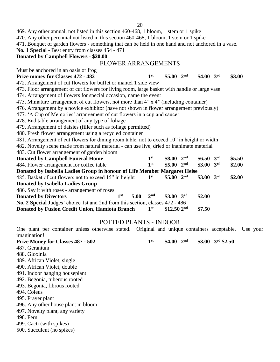20

469. Any other annual, not listed in this section 460-468, 1 bloom, 1 stem or 1 spike

470. Any other perennial not listed in this section 460-468, 1 bloom, 1 stem or 1 spike

471. Bouquet of garden flowers - something that can be held in one hand and not anchored in a vase.

**No. 1 Special -** Best entry from classes 454 - 471

### **Donated by Campbell Flowers - \$20.00**

### FLOWER ARRANGEMENTS

Must be anchored in an oasis or frog

### **Prize money for Classes 472 - 482 1 st \$5.00 2 nd \$4.00 3 rd \$3.00**

472. Arrangement of cut flowers for buffet or mantel 1 side view 473. Floor arrangement of cut flowers for living room, large basket with handle or large vase

474. Arrangement of flowers for special occasion, name the event

475. Miniature arrangement of cut flowers, not more than 4" x 4" (including container)

476. Arrangement by a novice exhibitor (have not shown in flower arrangement previously)

477. 'A Cup of Memories' arrangement of cut flowers in a cup and saucer

478. End table arrangement of any type of foliage

479. Arrangement of daisies (filler such as foliage permitted)

480. Fresh flower arrangement using a recycled container

481. Arrangement of cut flowers for dining room table, not to exceed 10" in height or width

482. Novelty scene made from natural material - can use live, dried or inanimate material

483. Cut flower arrangement of garden bloom

| <b>Donated by Campbell Funeral Home</b>                                       |     |      | 1 <sup>st</sup> | \$8.00                   | 2 <sup>nd</sup> | $$6.50$ 3rd | \$5.50 |
|-------------------------------------------------------------------------------|-----|------|-----------------|--------------------------|-----------------|-------------|--------|
| 484. Flower arrangement for coffee table                                      |     |      | 1 <sup>st</sup> | \$5.00~2 <sup>nd</sup>   |                 | $$3.00$ 3rd | \$2.00 |
| Donated by Isabella Ladies Group in honour of Life Member Margaret Heise      |     |      |                 |                          |                 |             |        |
| 485. Basket of cut flowers not to exceed 15" in height                        |     |      | 1 <sup>st</sup> | \$5.00 $2^{\text{nd}}$   |                 | $$3.00$ 3rd | \$2.00 |
| Donated by Isabella Ladies Group                                              |     |      |                 |                          |                 |             |        |
| 486. Say it with roses - arrangement of roses                                 |     |      |                 |                          |                 |             |        |
| <b>Donated by Directors</b>                                                   | 1st | 5.00 | 2 <sup>nd</sup> | $$3.00$ 3rd              |                 | \$2.00      |        |
| No. 2 Special Judges' choice 1st and 2nd from this section, classes 472 - 486 |     |      |                 |                          |                 |             |        |
| Donated by Fusion Credit Union, Hamiota Branch                                |     |      | 1 <sup>st</sup> | $$12.50$ 2 <sup>nd</sup> |                 | \$7.50      |        |

### POTTED PLANTS - INDOOR

One plant per container unless otherwise stated. Original and unique containers acceptable. Use your imagination! **st \$4.00 2**

| <b>Prize Money for Classes 487 - 502</b> | 1 <sup>st</sup> | \$4.00 | 2 <sup>nd</sup> | \$3.00 $3^{\text{rd}}$ \$2.50 |
|------------------------------------------|-----------------|--------|-----------------|-------------------------------|
| 487. Geranium                            |                 |        |                 |                               |
| 488. Gloxinia                            |                 |        |                 |                               |
| 489. African Violet, single              |                 |        |                 |                               |
| 490. African Violet, double              |                 |        |                 |                               |
| 491. Indoor hanging houseplant           |                 |        |                 |                               |
| 492. Begonia, tuberous rooted            |                 |        |                 |                               |
| 493. Begonia, fibrous rooted             |                 |        |                 |                               |
| 494. Coleus                              |                 |        |                 |                               |
| 495. Prayer plant                        |                 |        |                 |                               |
| 496. Any other house plant in bloom      |                 |        |                 |                               |
| 497. Novelty plant, any variety          |                 |        |                 |                               |
| 498. Fern                                |                 |        |                 |                               |
| 499. Cacti (with spikes)                 |                 |        |                 |                               |
| 500. Succulent (no spikes)               |                 |        |                 |                               |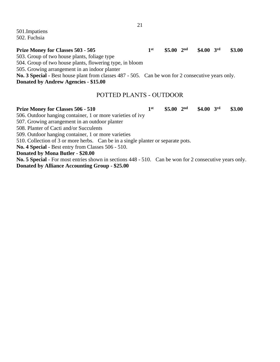501.Impatiens 502. Fuchsia

### **Prize Money for Classes 503 - 505 1 st \$5.00 2 nd \$4.00 3 rd \$3.00**

503. Group of two house plants, foliage type

504. Group of two house plants, flowering type, in bloom

505. Growing arrangement in an indoor planter

**No. 3 Special -** Best house plant from classes 487 - 505. Can be won for 2 consecutive years only.

**Donated by Andrew Agencies - \$15.00**

### POTTED PLANTS - OUTDOOR

### **Prize Money for Classes 506 - 510 1 st \$5.00 2 nd \$4.00 3 rd \$3.00** 506. Outdoor hanging container, 1 or more varieties of ivy 507. Growing arrangement in an outdoor planter 508. Planter of Cacti and/or Succulents 509. Outdoor hanging container, 1 or more varieties 510. Collection of 3 or more herbs. Can be in a single planter or separate pots. **No. 4 Special -** Best entry from Classes 506 - 510. **Donated by Mona Butler - \$20.00 No. 5 Special** - For most entries shown in sections 448 - 510. Can be won for 2 consecutive years only.

**Donated by Alliance Accounting Group - \$25.00**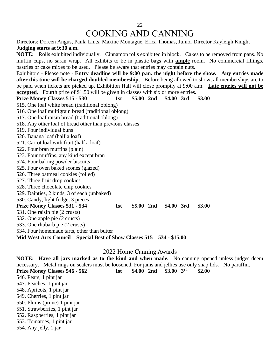# COOKING AND CANNING

Directors: Doreen Angus, Paula Lints, Maxine Montague, Erica Thomas, Junior Director Kayleigh Knight **Judging starts at 9:30 a.m.**

**NOTE:** Rolls exhibited individually. Cinnamon rolls exhibited in block. Cakes to be removed from pans. No muffin cups, no saran wrap. All exhibits to be in plastic bags with **ample** room. No commercial fillings, pastries or cake mixes to be used. Please be aware that entries may contain nuts.

Exhibitors - Please note - **Entry deadline will be 9:00 p.m. the night before the show. Any entries made after this time will be charged doubled membership**. Before being allowed to show, all memberships are to be paid when tickets are picked up. Exhibition Hall will close promptly at 9:00 a.m. **Late entries will not be accepted.** Fourth prize of \$1.50 will be given in classes with six or more entries.

**Prize Money Classes 515 - 530 1st \$5.00 2nd \$4.00 3rd \$3.00** 515. One loaf white bread (traditional oblong) 516. One loaf multigrain bread (traditional oblong) 517. One loaf raisin bread (traditional oblong) 518. Any other loaf of bread other than previous classes 519. Four individual buns 520. Banana loaf (half a loaf) 521. Carrot loaf with fruit (half a loaf) 522. Four bran muffins (plain) 523. Four muffins, any kind except bran 524. Four baking powder biscuits 525. Four oven baked scones (glazed) 526. Three oatmeal cookies (rolled) 527. Three fruit drop cookies 528. Three chocolate chip cookies 529. Dainties, 2 kinds, 3 of each (unbaked) 530. Candy, light fudge, 3 pieces **Prize Money Classes 531 - 534 1st \$5.00 2nd \$4.00 3rd \$3.00** 531. One raisin pie (2 crusts) 532. One apple pie (2 crusts) 533. One rhubarb pie (2 crusts) 534. Four homemade tarts, other than butter **Mid West Arts Council – Special Best of Show Classes 515 – 534 - \$15.00**

### 2022 Home Canning Awards

**NOTE: Have all jars marked as to the kind and when made.** No canning opened unless judges deem necessary. Metal rings on sealers must be loosened. For jams and jellies use only snap lids. No paraffin. **Prize Money Classes 546 - 562 1st \$4.00 2nd \$3.00 3 rd \$2.00** 546. Pears, 1 pint jar 547. Peaches, 1 pint jar 548. Apricots, 1 pint jar 549. Cherries, 1 pint jar 550. Plums (prune) 1 pint jar 551. Strawberries, 1 pint jar 552. Raspberries, 1 pint jar 553. Tomatoes, 1 pint jar 554. Any jelly, 1 jar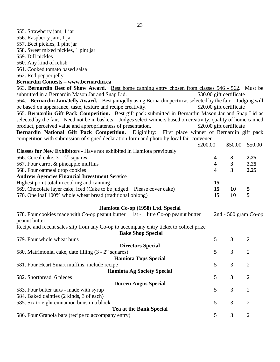| 555. Strawberry jam, 1 jar                                                                                      |                         |                          |                      |
|-----------------------------------------------------------------------------------------------------------------|-------------------------|--------------------------|----------------------|
| 556. Raspberry jam, 1 jar                                                                                       |                         |                          |                      |
| 557. Beet pickles, 1 pint jar                                                                                   |                         |                          |                      |
| 558. Sweet mixed pickles, 1 pint jar                                                                            |                         |                          |                      |
| 559. Dill pickles                                                                                               |                         |                          |                      |
| 560. Any kind of relish                                                                                         |                         |                          |                      |
| 561. Cooked tomato based salsa                                                                                  |                         |                          |                      |
| 562. Red pepper jelly                                                                                           |                         |                          |                      |
| Bernardin Contests - www.bernardin.ca                                                                           |                         |                          |                      |
| 563. Bernardin Best of Show Award. Best home canning entry chosen from classes 546 - 562. Must be               |                         |                          |                      |
| submitted in a Bernardin Mason Jar and Snap Lid.                                                                |                         | \$30.00 gift certificate |                      |
| 564. Bernardin Jam/Jelly Award. Best jam/jelly using Bernardin pectin as selected by the fair. Judging will     |                         |                          |                      |
| be based on appearance, taste, texture and recipe creativity.                                                   |                         | \$20.00 gift certificate |                      |
|                                                                                                                 |                         |                          |                      |
| 565. Bernardin Gift Pack Competition. Best gift pack submitted in Bernardin Mason Jar and Snap Lid as           |                         |                          |                      |
| selected by the fair. Need not be in baskets. Judges select winners based on creativity, quality of home canned |                         |                          |                      |
| product, perceived value and appropriateness of presentation.                                                   |                         | \$20.00 gift certificate |                      |
| Bernardin National Gift Pack Competition. Eligibility: First place winner of Bernardin gift pack                |                         |                          |                      |
| competition with submission of signed declaration form and photo by local fair convener                         |                         |                          |                      |
| \$200.00                                                                                                        |                         | \$50.00                  | \$50.00              |
| <b>Classes for New Exhibitors - Have not exhibited in Hamiota previously</b>                                    |                         |                          |                      |
| 566. Cereal cake, $3 - 2$ " squares                                                                             | 4                       | 3                        | 2.25                 |
| 567. Four carrot & pineapple muffins                                                                            | $\overline{\mathbf{4}}$ | $\mathbf{3}$             | 2.25                 |
| 568. Four oatmeal drop cookies                                                                                  | $\overline{\mathbf{4}}$ | $\overline{\mathbf{3}}$  | 2.25                 |
| <b>Andrew Agencies Financial Investment Service</b>                                                             |                         |                          |                      |
| Highest point total in cooking and canning                                                                      | 15                      |                          |                      |
| 569. Chocolate layer cake, iced (Cake to be judged. Please cover cake)                                          | 15                      | <b>10</b>                | 5                    |
| 570. One loaf 100% whole wheat bread (traditional oblong)                                                       | 15                      | <b>10</b>                | 5                    |
| Hamiota Co-op (1958) Ltd. Special                                                                               |                         |                          |                      |
| 578. Four cookies made with Co-op peanut butter 1st - 1 litre Co-op peanut butter                               |                         |                          | 2nd - 500 gram Co-op |
| peanut butter                                                                                                   |                         |                          |                      |
| Recipe and recent sales slip from any Co-op to accompany entry ticket to collect prize                          |                         |                          |                      |
| <b>Bake Shop Special</b>                                                                                        |                         |                          |                      |
| 579. Four whole wheat buns                                                                                      | 5                       | 3                        | $\overline{2}$       |
| <b>Directors Special</b>                                                                                        |                         |                          |                      |
| 580. Matrimonial cake, date filling (3 - 2" squares)                                                            | 5                       | 3                        | $\overline{2}$       |
| <b>Hamiota Tops Special</b>                                                                                     |                         |                          |                      |
| 581. Four Heart Smart muffins, include recipe                                                                   | 5                       | 3                        | 2                    |
| <b>Hamiota Ag Society Special</b>                                                                               |                         |                          |                      |
| 582. Shortbread, 6 pieces                                                                                       | 5                       | 3                        | $\overline{2}$       |
| <b>Doreen Angus Special</b>                                                                                     |                         |                          |                      |
| 583. Four butter tarts - made with syrup                                                                        | 5                       | 3                        | $\overline{c}$       |
| 584. Baked dainties (2 kinds, 3 of each)                                                                        |                         |                          |                      |
| 585. Six to eight cinnamon buns in a block                                                                      | 5                       | 3                        | 2                    |
| <b>Tea at the Bank Special</b>                                                                                  |                         |                          |                      |
| 586. Four Granola bars (recipe to accompany entry)                                                              | 5                       | $\mathfrak{Z}$           | $\mathfrak{2}$       |
|                                                                                                                 |                         |                          |                      |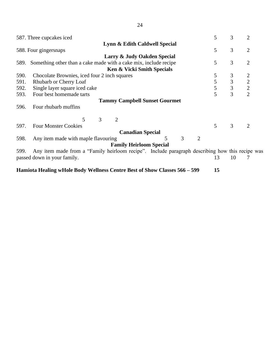|      | 587. Three cupcakes iced                                                                        | 5  | 3              | 2              |
|------|-------------------------------------------------------------------------------------------------|----|----------------|----------------|
|      | Lynn & Edith Caldwell Special                                                                   |    |                |                |
|      | 588. Four gingersnaps                                                                           | 5  | 3              | $\overline{2}$ |
|      | Larry & Judy Oakden Special                                                                     |    |                |                |
| 589. | Something other than a cake made with a cake mix, include recipe                                | 5  | 3              | $\overline{2}$ |
|      | Ken & Vicki Smith Specials                                                                      |    |                |                |
| 590. | Chocolate Brownies, iced four 2 inch squares                                                    | 5  | 3              | $\overline{2}$ |
| 591. | Rhubarb or Cherry Loaf                                                                          | 5  | $\overline{3}$ | $\frac{2}{2}$  |
| 592. | Single layer square iced cake                                                                   | 5  | $\mathfrak{Z}$ |                |
| 593. | Four best homemade tarts                                                                        | 5  | 3              | $\overline{2}$ |
|      | <b>Tammy Campbell Sunset Gourmet</b>                                                            |    |                |                |
| 596. | Four rhubarb muffins                                                                            |    |                |                |
|      | 5<br>3<br>$\overline{2}$                                                                        |    |                |                |
| 597. | <b>Four Monster Cookies</b>                                                                     | 5  | 3              | 2              |
|      | <b>Canadian Special</b>                                                                         |    |                |                |
| 598. | 3<br>5<br>2<br>Any item made with maple flavouring                                              |    |                |                |
|      | <b>Family Heirloom Special</b>                                                                  |    |                |                |
| 599. | Any item made from a "Family heirloom recipe". Include paragraph describing how this recipe was |    |                |                |
|      | passed down in your family.                                                                     | 13 | 10             |                |

**Hamiota Healing wHole Body Wellness Centre Best of Show Classes 566 – 599 15**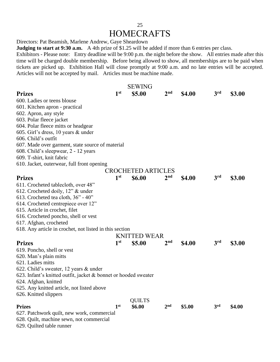### 25 **HOMECRAFTS**

Directors: Pat Beamish, Marlene Andrew, Gaye Sheardown

**Judging to start at 9:30 a.m.** A 4th prize of \$1.25 will be added if more than 6 entries per class.

Exhibitors - Please note: Entry deadline will be 9:00 p.m. the night before the show. All entries made after this time will be charged double membership. Before being allowed to show, all memberships are to be paid when tickets are picked up. Exhibition Hall will close promptly at 9:00 a.m. and no late entries will be accepted. Articles will not be accepted by mail. Articles must be machine made.

|                                                                 |                 | <b>SEWING</b>             |                 |        |                 |        |
|-----------------------------------------------------------------|-----------------|---------------------------|-----------------|--------|-----------------|--------|
| <b>Prizes</b>                                                   | 1 <sup>st</sup> | \$5.00                    | 2 <sup>nd</sup> | \$4.00 | 3 <sup>rd</sup> | \$3.00 |
| 600. Ladies or teens blouse                                     |                 |                           |                 |        |                 |        |
| 601. Kitchen apron - practical                                  |                 |                           |                 |        |                 |        |
| 602. Apron, any style                                           |                 |                           |                 |        |                 |        |
| 603. Polar fleece jacket                                        |                 |                           |                 |        |                 |        |
| 604. Polar fleece mitts or headgear                             |                 |                           |                 |        |                 |        |
| 605. Girl's dress, 10 years & under                             |                 |                           |                 |        |                 |        |
| 606. Child's outfit                                             |                 |                           |                 |        |                 |        |
| 607. Made over garment, state source of material                |                 |                           |                 |        |                 |        |
| 608. Child's sleepwear, 2 - 12 years                            |                 |                           |                 |        |                 |        |
| 609. T-shirt, knit fabric                                       |                 |                           |                 |        |                 |        |
| 610. Jacket, outerwear, full front opening                      |                 |                           |                 |        |                 |        |
|                                                                 |                 | <b>CROCHETED ARTICLES</b> |                 |        |                 |        |
| <b>Prizes</b>                                                   | 1 <sup>st</sup> | <b>\$6.00</b>             | 2 <sup>nd</sup> | \$4.00 | 3rd             | \$3.00 |
| 611. Crocheted tablecloth, over 48"                             |                 |                           |                 |        |                 |        |
| 612. Crocheted doily, 12" & under                               |                 |                           |                 |        |                 |        |
| 613. Crocheted tea cloth, $36" - 40"$                           |                 |                           |                 |        |                 |        |
| 614. Crocheted centrepiece over 12"                             |                 |                           |                 |        |                 |        |
| 615. Article in crochet, filet                                  |                 |                           |                 |        |                 |        |
| 616. Crocheted poncho, shell or vest                            |                 |                           |                 |        |                 |        |
| 617. Afghan, crocheted                                          |                 |                           |                 |        |                 |        |
| 618. Any article in crochet, not listed in this section         |                 |                           |                 |        |                 |        |
|                                                                 |                 | <b>KNITTED WEAR</b>       |                 |        |                 |        |
| <b>Prizes</b>                                                   | 1 <sup>st</sup> | \$5.00                    | 2 <sub>nd</sub> | \$4.00 | 3 <sup>rd</sup> | \$3.00 |
| 619. Poncho, shell or vest                                      |                 |                           |                 |        |                 |        |
| 620. Man's plain mitts                                          |                 |                           |                 |        |                 |        |
| 621. Ladies mitts                                               |                 |                           |                 |        |                 |        |
| 622. Child's sweater, 12 years & under                          |                 |                           |                 |        |                 |        |
| 623. Infant's knitted outfit, jacket & bonnet or hooded sweater |                 |                           |                 |        |                 |        |
| 624. Afghan, knitted                                            |                 |                           |                 |        |                 |        |
| 625. Any knitted article, not listed above                      |                 |                           |                 |        |                 |        |
| 626. Knitted slippers                                           |                 |                           |                 |        |                 |        |
|                                                                 |                 | <b>QUILTS</b>             |                 |        |                 |        |
| <b>Prizes</b>                                                   | 1 <sup>st</sup> | \$6.00                    | 2 <sub>nd</sub> | \$5.00 | 3rd             | \$4.00 |
| 627. Patchwork quilt, new work, commercial                      |                 |                           |                 |        |                 |        |
| 628. Quilt, machine sewn, not commercial                        |                 |                           |                 |        |                 |        |

629. Quilted table runner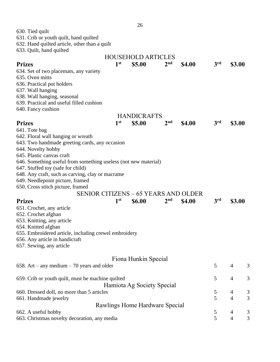| 630. Tied quilt                                                 |                 |                                             |                 |        |                 |                |   |
|-----------------------------------------------------------------|-----------------|---------------------------------------------|-----------------|--------|-----------------|----------------|---|
| 631. Crib or youth quilt, hand quilted                          |                 |                                             |                 |        |                 |                |   |
| 632. Hand quilted article, other than a quilt                   |                 |                                             |                 |        |                 |                |   |
| 633. Quilt, hand quilted                                        |                 |                                             |                 |        |                 |                |   |
|                                                                 |                 | <b>HOUSEHOLD ARTICLES</b>                   |                 |        |                 |                |   |
| <b>Prizes</b>                                                   | 1 <sup>st</sup> | \$5.00                                      | 2 <sup>nd</sup> | \$4.00 | 3 <sup>rd</sup> | \$3.00         |   |
| 634. Set of two placemats, any variety                          |                 |                                             |                 |        |                 |                |   |
| 635. Oven mitts                                                 |                 |                                             |                 |        |                 |                |   |
| 636. Practical pot holders                                      |                 |                                             |                 |        |                 |                |   |
| 637. Wall hanging                                               |                 |                                             |                 |        |                 |                |   |
| 638. Wall hanging, seasonal                                     |                 |                                             |                 |        |                 |                |   |
| 639. Practical and useful filled cushion                        |                 |                                             |                 |        |                 |                |   |
| 640. Fancy cushion                                              |                 |                                             |                 |        |                 |                |   |
|                                                                 |                 | <b>HANDICRAFTS</b>                          |                 |        |                 |                |   |
| <b>Prizes</b>                                                   | 1 <sup>st</sup> | \$5.00                                      | 2 <sup>nd</sup> | \$4.00 | 3 <sup>rd</sup> | \$3.00         |   |
| 641. Tote bag                                                   |                 |                                             |                 |        |                 |                |   |
| 642. Floral wall hanging or wreath                              |                 |                                             |                 |        |                 |                |   |
| 643. Two handmade greeting cards, any occasion                  |                 |                                             |                 |        |                 |                |   |
| 644. Novelty hobby                                              |                 |                                             |                 |        |                 |                |   |
| 645. Plastic canvas craft                                       |                 |                                             |                 |        |                 |                |   |
| 646. Something useful from something useless (not new material) |                 |                                             |                 |        |                 |                |   |
| 647. Stuffed toy (safe for child)                               |                 |                                             |                 |        |                 |                |   |
| 648. Any craft, such as carving, clay or macrame                |                 |                                             |                 |        |                 |                |   |
| 649. Needlepoint picture, framed                                |                 |                                             |                 |        |                 |                |   |
| 650. Cross stitch picture, framed                               |                 |                                             |                 |        |                 |                |   |
|                                                                 |                 | <b>SENIOR CITIZENS - 65 YEARS AND OLDER</b> |                 |        |                 |                |   |
| <b>Prizes</b>                                                   | 1 <sup>st</sup> | <b>\$6.00</b>                               | 2 <sup>nd</sup> | \$4.00 | 3 <sup>rd</sup> | \$3.00         |   |
| 651. Crochet, any article                                       |                 |                                             |                 |        |                 |                |   |
| 652. Crochet afghan                                             |                 |                                             |                 |        |                 |                |   |
| 653. Knitting, any article                                      |                 |                                             |                 |        |                 |                |   |
| 654. Knitted afghan                                             |                 |                                             |                 |        |                 |                |   |
| 655. Embroidered article, including crewel embroidery           |                 |                                             |                 |        |                 |                |   |
| 656. Any article in handicraft                                  |                 |                                             |                 |        |                 |                |   |
| 657. Sewing, any article                                        |                 |                                             |                 |        |                 |                |   |
|                                                                 |                 |                                             |                 |        |                 |                |   |
|                                                                 |                 | Fiona Hunkin Special                        |                 |        |                 |                |   |
| 658. Art – any medium – 70 years and older                      |                 |                                             |                 |        | 5               | $\overline{4}$ | 3 |
|                                                                 |                 |                                             |                 |        |                 |                |   |
| 659. Crib or youth quilt, must be machine quilted               |                 |                                             |                 |        | 5               | $\overline{4}$ | 3 |
|                                                                 |                 | Hamiota Ag Society Special                  |                 |        |                 |                |   |
| 660. Dressed doll, no more than 5 articles                      |                 |                                             |                 |        | 5               | 4              | 3 |
| 661. Handmade jewelry                                           |                 |                                             |                 |        | 5               | $\overline{4}$ | 3 |
|                                                                 |                 | Rawlings Home Hardware Special              |                 |        |                 |                |   |
| 662. A useful hobby                                             |                 |                                             |                 |        | 5               | $\overline{4}$ | 3 |
| 663. Christmas novelty decoration, any media                    |                 |                                             |                 |        | 5               | $\overline{4}$ | 3 |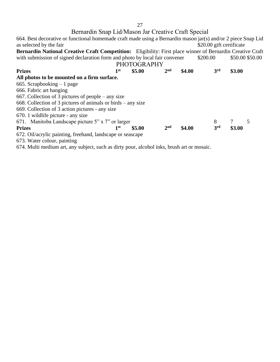# Bernardin Snap Lid/Mason Jar Creative Craft Special

| 664. Best decorative or functional homemade craft made using a Bernardin mason jar(s) and/or 2 piece Snap Lid |                 |                    |                 |        |                          |        |                 |
|---------------------------------------------------------------------------------------------------------------|-----------------|--------------------|-----------------|--------|--------------------------|--------|-----------------|
| as selected by the fair                                                                                       |                 |                    |                 |        | \$20.00 gift certificate |        |                 |
| Bernardin National Creative Craft Competition: Eligibility: First place winner of Bernardin Creative Craft    |                 |                    |                 |        |                          |        |                 |
| with submission of signed declaration form and photo by local fair convener                                   |                 |                    |                 |        | \$200.00                 |        | \$50.00 \$50.00 |
|                                                                                                               |                 | <b>PHOTOGRAPHY</b> |                 |        |                          |        |                 |
| <b>Prizes</b>                                                                                                 | 1 <sup>st</sup> | \$5.00             | 2 <sub>nd</sub> | \$4.00 | 3rd                      | \$3.00 |                 |
| All photos to be mounted on a firm surface.                                                                   |                 |                    |                 |        |                          |        |                 |
| 665. Scrapbooking $-1$ page                                                                                   |                 |                    |                 |        |                          |        |                 |
| 666. Fabric art hanging                                                                                       |                 |                    |                 |        |                          |        |                 |
| 667. Collection of 3 pictures of people $-$ any size                                                          |                 |                    |                 |        |                          |        |                 |
| 668. Collection of 3 pictures of animals or birds $-$ any size                                                |                 |                    |                 |        |                          |        |                 |
| 669. Collection of 3 action pictures - any size                                                               |                 |                    |                 |        |                          |        |                 |
| 670. 1 wildlife picture - any size                                                                            |                 |                    |                 |        |                          |        |                 |
| 671. Manitoba Landscape picture 5" x 7" or larger                                                             |                 |                    |                 |        | 8                        |        | 5               |
| <b>Prizes</b>                                                                                                 | 1 <sup>st</sup> | \$5.00             | 2 <sub>nd</sub> | \$4.00 | 3rd                      | \$3.00 |                 |
| 672. Oil/acrylic painting, freehand, landscape or seascape                                                    |                 |                    |                 |        |                          |        |                 |
| 673. Water colour, painting                                                                                   |                 |                    |                 |        |                          |        |                 |
| 674. Multi medium art, any subject, such as dirty pour, alcohol inks, brush art or mosaic.                    |                 |                    |                 |        |                          |        |                 |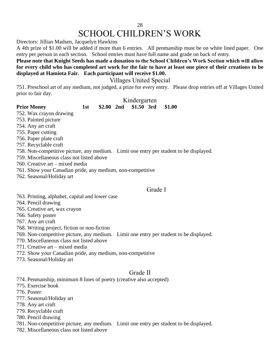# SCHOOL CHILDREN'S WORK

Directors: Jillian Madsen, Jacquelyn Hawkins

A 4th prize of \$1.00 will be added if more than 6 entries. All penmanship must be on white lined paper. One entry per person in each section. School entries must have full name and grade on back of entry.

### **Please note that Knight Seeds has made a donation to the School Children's Work Section which will allow for every child who has completed art work for the fair to have at least one piece of their creations to be displayed at Hamiota Fair. Each participant will receive \$1.00.**

Villages United Special

751. Preschool art of any medium, not judged, a prize for every entry. Please drop entries off at Villages United prior to fair day.

|                                                                                        |     |  | Kindergarten          |        |
|----------------------------------------------------------------------------------------|-----|--|-----------------------|--------|
| <b>Prize Money</b>                                                                     | 1st |  | \$2.00 2nd \$1.50 3rd | \$1.00 |
| 752. Wax crayon drawing                                                                |     |  |                       |        |
| 753. Painted picture                                                                   |     |  |                       |        |
| 754. Any art craft                                                                     |     |  |                       |        |
| 755. Paper cutting                                                                     |     |  |                       |        |
| 756. Paper plate craft                                                                 |     |  |                       |        |
| 757. Recyclable craft                                                                  |     |  |                       |        |
| 758. Non-competitive picture, any medium. Limit one entry per student to be displayed. |     |  |                       |        |
| 759. Miscellaneous class not listed above                                              |     |  |                       |        |
|                                                                                        |     |  |                       |        |

- 760. Creative art mixed media
- 761. Show your Canadian pride, any medium, non-competitive
- 762. Seasonal/Holiday art

### Grade I

- 763. Printing, alphabet, capital and lower case
- 764. Pencil drawing
- 765. Creative art, wax crayon
- 766. Safety poster

 $752.$  $753.$ 754.  $755.$  $756.$ 757. Recyclable craft

- 767. Any art craft
- 768. Writing project, fiction or non-fiction
- 769. Non-competitive picture, any medium. Limit one entry per student to be displayed.
- 770. Miscellaneous class not listed above
- 771. Creative art mixed media
- 772. Show your Canadian pride, any medium, non-competitive
- 773. Seasonal/Holiday art

### Grade II

774. Penmanship, minimum 8 lines of poetry (creative also accepted)

- 775. Exercise book
- 776. Poster
- 777. Seasonal/Holiday art
- 778. Any art craft
- 779. Recyclable craft
- 780. Pencil drawing
- 781. Non-competitive picture, any medium. Limit one entry per student to be displayed.
- 782. Miscellaneous class not listed above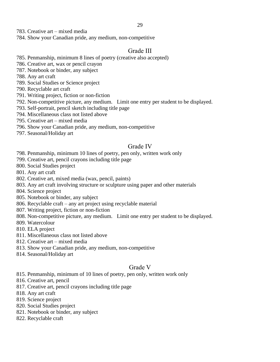783. Creative art – mixed media

784. Show your Canadian pride, any medium, non-competitive

### Grade III

- 785. Penmanship, minimum 8 lines of poetry (creative also accepted)
- 786. Creative art, wax or pencil crayon
- 787. Notebook or binder, any subject
- 788. Any art craft
- 789. Social Studies or Science project
- 790. Recyclable art craft
- 791. Writing project, fiction or non-fiction
- 792. Non-competitive picture, any medium. Limit one entry per student to be displayed.
- 793. Self-portrait, pencil sketch including title page
- 794. Miscellaneous class not listed above
- 795. Creative art mixed media
- 796. Show your Canadian pride, any medium, non-competitive
- 797. Seasonal/Holiday art

### Grade IV

- 798. Penmanship, minimum 10 lines of poetry, pen only, written work only
- 799. Creative art, pencil crayons including title page
- 800. Social Studies project
- 801. Any art craft
- 802. Creative art, mixed media (wax, pencil, paints)
- 803. Any art craft involving structure or sculpture using paper and other materials
- 804. Science project
- 805. Notebook or binder, any subject
- 806. Recyclable craft any art project using recyclable material
- 807. Writing project, fiction or non-fiction
- 808. Non-competitive picture, any medium. Limit one entry per student to be displayed.
- 809. Watercolour
- 810. ELA project
- 811. Miscellaneous class not listed above
- 812. Creative art mixed media
- 813. Show your Canadian pride, any medium, non-competitive
- 814. Seasonal/Holiday art

### Grade V

- 815. Penmanship, minimum of 10 lines of poetry, pen only, written work only
- 816. Creative art, pencil
- 817. Creative art, pencil crayons including title page
- 818. Any art craft
- 819. Science project
- 820. Social Studies project
- 821. Notebook or binder, any subject
- 822. Recyclable craft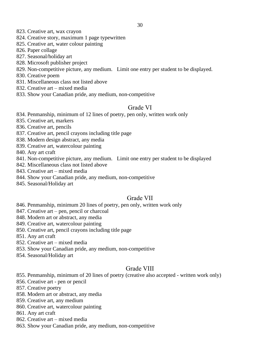- 823. Creative art, wax crayon
- 824. Creative story, maximum 1 page typewritten
- 825. Creative art, water colour painting
- 826. Paper collage
- 827. Seasonal/holiday art
- 828. Microsoft publisher project
- 829. Non-competitive picture, any medium. Limit one entry per student to be displayed.
- 830. Creative poem
- 831. Miscellaneous class not listed above
- 832. Creative art mixed media
- 833. Show your Canadian pride, any medium, non-competitive

### Grade VI

834. Penmanship, minimum of 12 lines of poetry, pen only, written work only

- 835. Creative art, markers
- 836. Creative art, pencils
- 837. Creative art, pencil crayons including title page
- 838. Modern design abstract, any media
- 839. Creative art, watercolour painting
- 840. Any art craft
- 841. Non-competitive picture, any medium. Limit one entry per student to be displayed
- 842. Miscellaneous class not listed above
- 843. Creative art mixed media
- 844. Show your Canadian pride, any medium, non-competitive
- 845. Seasonal/Holiday art

### Grade VII

- 846. Penmanship, minimum 20 lines of poetry, pen only, written work only
- 847. Creative art pen, pencil or charcoal
- 848. Modern art or abstract, any media
- 849. Creative art, watercolour painting
- 850. Creative art, pencil crayons including title page
- 851. Any art craft
- 852. Creative art mixed media
- 853. Show your Canadian pride, any medium, non-competitive
- 854. Seasonal/Holiday art

### Grade VIII

855. Penmanship, minimum of 20 lines of poetry (creative also accepted - written work only)

- 856. Creative art pen or pencil
- 857. Creative poetry
- 858. Modern art or abstract, any media
- 859. Creative art, any medium
- 860. Creative art, watercolour painting
- 861. Any art craft
- 862. Creative art mixed media
- 863. Show your Canadian pride, any medium, non-competitive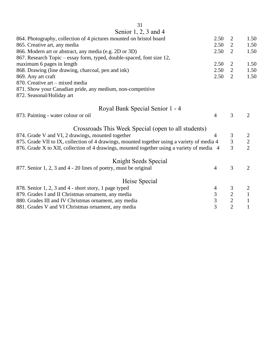| 31                                                                                          |                |                                  |                |  |
|---------------------------------------------------------------------------------------------|----------------|----------------------------------|----------------|--|
| Senior 1, 2, 3 and 4                                                                        |                |                                  |                |  |
| 864. Photography, collection of 4 pictures mounted on bristol board                         | 2.50           | $\overline{2}$                   | 1.50           |  |
| 865. Creative art, any media                                                                | 2.50           | $\overline{2}$                   | 1.50           |  |
| 866. Modern art or abstract, any media (e.g. 2D or 3D)                                      | 2.50           | $\overline{2}$                   | 1.50           |  |
| 867. Research Topic - essay form, typed, double-spaced, font size 12,                       |                |                                  |                |  |
| maximum 6 pages in length                                                                   | 2.50           | $\overline{2}$                   | 1.50           |  |
| 868. Drawing (line drawing, charcoal, pen and ink)                                          | 2.50           | 2                                | 1.50           |  |
| 869. Any art craft                                                                          | 2.50           | $\overline{2}$                   | 1.50           |  |
| 870. Creative art – mixed media                                                             |                |                                  |                |  |
| 871. Show your Canadian pride, any medium, non-competitive                                  |                |                                  |                |  |
| 872. Seasonal/Holiday art                                                                   |                |                                  |                |  |
| Royal Bank Special Senior 1 - 4                                                             |                |                                  |                |  |
| 873. Painting - water colour or oil                                                         | $\overline{4}$ | 3                                | $\overline{2}$ |  |
| Crossroads This Week Special (open to all students)                                         |                |                                  |                |  |
| 874. Grade V and VI, 2 drawings, mounted together                                           | 4              | 3                                | $\overline{2}$ |  |
| 875. Grade VII to IX, collection of 4 drawings, mounted together using a variety of media 4 |                | $\overline{3}$                   | $\overline{2}$ |  |
| 876. Grade X to XII, collection of 4 drawings, mounted together using a variety of media 4  |                | $\overline{3}$                   | $\overline{2}$ |  |
| Knight Seeds Special                                                                        |                |                                  |                |  |
| 877. Senior 1, 2, 3 and 4 - 20 lines of poetry, must be original                            | $\overline{4}$ | 3                                | $\overline{2}$ |  |
|                                                                                             |                |                                  |                |  |
| Heise Special                                                                               |                |                                  |                |  |
| 878. Senior 1, 2, 3 and 4 - short story, 1 page typed                                       | $\overline{4}$ | 3                                | $\overline{c}$ |  |
| 879. Grades I and II Christmas ornament, any media                                          | 3              | $\overline{2}$<br>$\overline{2}$ | $\,1\,$        |  |
| 3<br>880. Grades III and IV Christmas ornament, any media<br>$\overline{2}$                 |                |                                  |                |  |
| $\overline{3}$<br>881. Grades V and VI Christmas ornament, any media                        |                |                                  |                |  |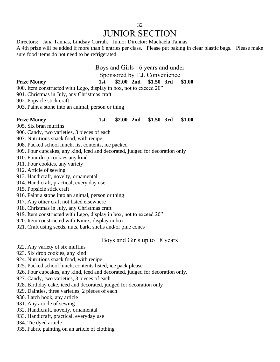### 32 JUNIOR SECTION

Directors: Jana Tannas, Lindsay Currah. Junior Director: Machaela Tannas A 4th prize will be added if more than 6 entries per class. Please put baking in clear plastic bags. Please make sure food items do not need to be refrigerated.

# Boys and Girls - 6 years and under

Sponsored by T.J. Convenience

### **Prize Money 1st \$2.00 2nd \$1.50 3rd \$1.00**

900. Item constructed with Lego, display in box, not to exceed 20"

901. Christmas in July, any Christmas craft

902. Popsicle stick craft

903. Paint a stone into an animal, person or thing

### **Prize Money 1st \$2.00 2nd \$1.50 3rd \$1.00**

905. Six bran muffins

906. Candy, two varieties, 3 pieces of each

907. Nutritious snack food, with recipe

908. Packed school lunch, list contents, ice packed

909. Four cupcakes, any kind, iced and decorated, judged for decoration only

910. Four drop cookies any kind

911. Four cookies, any variety

912. Article of sewing

913. Handicraft, novelty, ornamental

914. Handicraft, practical, every day use

915. Popsicle stick craft

916. Paint a stone into an animal, person or thing

917. Any other craft not listed elsewhere

918. Christmas in July, any Christmas craft

919. Item constructed with Lego, display in box, not to exceed 20"

920. Item constructed with Kinex, display in box

921. Craft using seeds, nuts, bark, shells and/or pine cones

Boys and Girls up to 18 years

922. Any variety of six muffins

923. Six drop cookies, any kind

924. Nutritious snack food, with recipe

925. Packed school lunch, contents listed, ice pack please

926. Four cupcakes, any kind, iced and decorated, judged for decoration only.

927. Candy, two varieties, 3 pieces of each

928. Birthday cake, iced and decorated, judged for decoration only

929. Dainties, three varieties, 2 pieces of each

930. Latch hook, any article

931. Any article of sewing

932. Handicraft, novelty, ornamental

933. Handicraft, practical, everyday use

934. Tie dyed article

935. Fabric painting on an article of clothing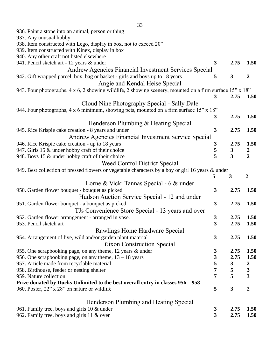| 936. Paint a stone into an animal, person or thing                                                                     |                         |                  |                  |
|------------------------------------------------------------------------------------------------------------------------|-------------------------|------------------|------------------|
| 937. Any unusual hobby                                                                                                 |                         |                  |                  |
| 938. Item constructed with Lego, display in box, not to exceed 20"<br>939. Item constructed with Kinex, display in box |                         |                  |                  |
| 940. Any other craft not listed elsewhere                                                                              |                         |                  |                  |
| 941. Pencil sketch art - 12 years & under                                                                              | 3                       | 2.75             | 1.50             |
| Andrew Agencies Financial Investment Services Special                                                                  |                         |                  |                  |
| 942. Gift wrapped parcel, box, bag or basket - girls and boys up to 18 years                                           | 5                       | 3                | $\boldsymbol{2}$ |
| Angie and Kendal Heise Special                                                                                         |                         |                  |                  |
| 943. Four photographs, 4 x 6, 2 showing wildlife, 2 showing scenery, mounted on a firm surface 15" x 18"               |                         |                  |                  |
|                                                                                                                        | 3                       | 2.75             | 1.50             |
| Cloud Nine Photography Special - Sally Dale                                                                            |                         |                  |                  |
| 944. Four photographs, 4 x 6 minimum, showing pets, mounted on a firm surface 15" x 18"                                |                         |                  |                  |
|                                                                                                                        | 3                       | 2.75             | 1.50             |
| Henderson Plumbing & Heating Special                                                                                   |                         |                  |                  |
| 945. Rice Krispie cake creation - 8 years and under                                                                    | 3                       | 2.75             | 1.50             |
| Andrew Agencies Financial Investment Service Special                                                                   |                         |                  |                  |
| 946. Rice Krispie cake creation - up to 18 years                                                                       | 3                       | 2.75             | 1.50             |
| 947. Girls 15 & under hobby craft of their choice                                                                      | 5                       | $\boldsymbol{3}$ |                  |
| 948. Boys 15 & under hobby craft of their choice                                                                       | 5                       | $\overline{3}$   | $\frac{2}{2}$    |
| Weed Control District Special                                                                                          |                         |                  |                  |
| 949. Best collection of pressed flowers or vegetable characters by a boy or girl 16 years & under                      |                         |                  |                  |
|                                                                                                                        | 5                       | 3                | $\boldsymbol{2}$ |
| Lorne & Vicki Tannas Special - 6 & under                                                                               |                         |                  |                  |
| 950. Garden flower bouquet - bouquet as picked                                                                         | 3                       | 2.75             | 1.50             |
| Hudson Auction Service Special - 12 and under                                                                          |                         |                  |                  |
| 951. Garden flower bouquet - a bouquet as picked                                                                       | 3                       | 2.75             | 1.50             |
| TJs Convenience Store Special - 13 years and over                                                                      |                         |                  |                  |
| 952. Garden flower arrangement - arranged in vase.                                                                     | 3                       | 2.75             | 1.50             |
| 953. Pencil sketch art                                                                                                 | 3                       | 2.75             | 1.50             |
| Rawlings Home Hardware Special                                                                                         |                         |                  |                  |
| 954. Arrangement of live, wild and/or garden plant material                                                            | 3                       | 2.75             | 1.50             |
| Dixon Construction Special                                                                                             |                         |                  |                  |
| 955. One scrapbooking page, on any theme, 12 years & under                                                             | 3                       | 2.75             | 1.50             |
| 956. One scrapbooking page, on any theme, $13 - 18$ years                                                              | $\overline{\mathbf{3}}$ | 2.75             | 1.50             |
| 957. Article made from recyclable material                                                                             | 5                       | $\boldsymbol{3}$ | $\boldsymbol{2}$ |
| 958. Birdhouse, feeder or nesting shelter                                                                              | 7                       | 5                | $\mathbf{3}$     |
| 959. Nature collection                                                                                                 | 7                       | 5                | 3                |
| Prize donated by Ducks Unlimited to the best overall entry in classes 956 - 958                                        |                         |                  |                  |
| 960. Poster, 22" x 28" on nature or wildlife                                                                           | 5                       | 3                | $\boldsymbol{2}$ |
| Henderson Plumbing and Heating Special                                                                                 |                         |                  |                  |
| 961. Family tree, boys and girls 10 & under                                                                            | 3                       | 2.75             | 1.50             |
| 962. Family tree, boys and girls 11 & over                                                                             | 3                       | 2.75             | 1.50             |
|                                                                                                                        |                         |                  |                  |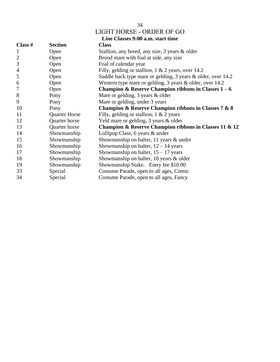| I<br>۰.<br>۰.<br>× |
|--------------------|
|--------------------|

### LIGHT HORSE - ORDER OF GO

|              |                      | Line Classes 9:00 a.m. start time                                   |
|--------------|----------------------|---------------------------------------------------------------------|
| Class $#$    | <b>Section</b>       | <b>Class</b>                                                        |
| $\mathbf{1}$ | Open                 | Stallion, any breed, any size, 3 years & older                      |
| $\mathbf{2}$ | Open                 | Brood mare with foal at side, any size                              |
| 3            | Open                 | Foal of calendar year                                               |
| 4            | Open                 | Filly, gelding or stallion, $1 \& 2$ years, over 14.2               |
| 5            | Open                 | Saddle hack type mare or gelding, 3 years & older, over 14.2        |
| 6            | Open                 | Western type mare or gelding, 3 years & older, over 14.2            |
| 7            | Open                 | Champion & Reserve Champion ribbons in Classes $1-6$                |
| 8            | Pony                 | Mare or gelding, $3$ years $\&$ older                               |
| 9            | Pony                 | Mare or gelding, under 3 years                                      |
| 10           | Pony                 | <b>Champion &amp; Reserve Champion ribbons in Classes 7 &amp; 8</b> |
| 11           | <b>Quarter Horse</b> | Filly, gelding or stallion, $1 \& 2 \text{ years}$                  |
| 12           | Quarter horse        | Yeld mare or gelding, 3 years & older                               |
| 13           | Quarter horse        | Champion & Reserve Champion ribbons in Classes 11 & 12              |
| 14           | Showmanship          | Lollipop Class, 6 years & under                                     |
| 15           | Showmanship          | Showmanship on halter, 11 years & under                             |
| 16           | Showmanship          | Showmanship on halter, $12 - 14$ years                              |
| 17           | Showmanship          | Showmanship on halter, $15 - 17$ years                              |
| 18           | Showmanship          | Showmanship on halter, 18 years & older                             |
| 19           | Showmanship          | Showmanship Stake. Entry fee \$10.00                                |
| 33           | Special              | Costume Parade, open to all ages, Comic                             |
| 34           | Special              | Costume Parade, open to all ages, Fancy                             |